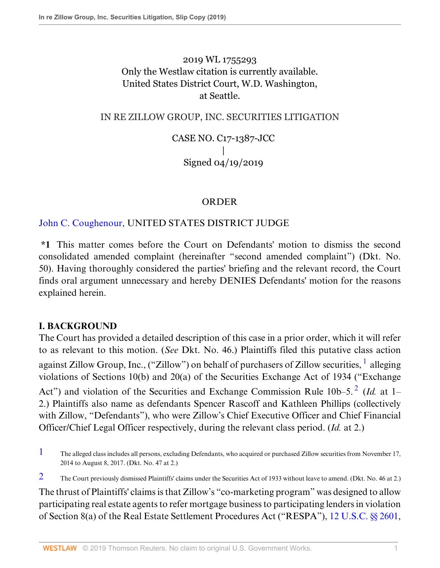2019 WL 1755293 Only the Westlaw citation is currently available. United States District Court, W.D. Washington, at Seattle.

### IN RE ZILLOW GROUP, INC. SECURITIES LITIGATION

CASE NO. C17-1387-JCC | Signed 04/19/2019

#### <span id="page-0-3"></span><span id="page-0-2"></span>ORDER

## [John C. Coughenour](http://www.westlaw.com/Link/Document/FullText?findType=h&pubNum=176284&cite=0172015901&originatingDoc=Ia2b1702064d511e9a6438b9dc1ba0379&refType=RQ&originationContext=document&vr=3.0&rs=cblt1.0&transitionType=DocumentItem&contextData=(sc.Default)), UNITED STATES DISTRICT JUDGE

**\*1** This matter comes before the Court on Defendants' motion to dismiss the second consolidated amended complaint (hereinafter "second amended complaint") (Dkt. No. 50). Having thoroughly considered the parties' briefing and the relevant record, the Court finds oral argument unnecessary and hereby DENIES Defendants' motion for the reasons explained herein.

#### **I. BACKGROUND**

The Court has provided a detailed description of this case in a prior order, which it will refer to as relevant to this motion. (*See* Dkt. No. 46.) Plaintiffs filed this putative class action against Zillow Group, Inc., ("Zillow") on behalf of purchasers of Zillow securities,  $^1$  $^1$  alleging violations of Sections 10(b) and 20(a) of the Securities Exchange Act of 1934 ("Exchange Act") and violation of the Securities and Exchange Commission Rule 10b–5.<sup>[2](#page-0-1)</sup> (*Id.* at 1– 2.) Plaintiffs also name as defendants Spencer Rascoff and Kathleen Phillips (collectively with Zillow, "Defendants"), who were Zillow's Chief Executive Officer and Chief Financial Officer/Chief Legal Officer respectively, during the relevant class period. (*Id.* at 2.)

<span id="page-0-0"></span> $1$  The alleged class includes all persons, excluding Defendants, who acquired or purchased Zillow securities from November 17, 2014 to August 8, 2017. (Dkt. No. 47 at 2.)

<span id="page-0-1"></span>[2](#page-0-3) The Court previously dismissed Plaintiffs' claims under the Securities Act of 1933 without leave to amend. (Dkt. No. 46 at 2.)

The thrust of Plaintiffs' claims is that Zillow's "co-marketing program" was designed to allow participating real estate agents to refer mortgage business to participating lenders in violation of Section 8(a) of the Real Estate Settlement Procedures Act ("RESPA"), [12 U.S.C. §§ 2601](http://www.westlaw.com/Link/Document/FullText?findType=L&pubNum=1000546&cite=12USCAS2601&originatingDoc=Ia2b1702064d511e9a6438b9dc1ba0379&refType=LQ&originationContext=document&vr=3.0&rs=cblt1.0&transitionType=DocumentItem&contextData=(sc.Default)),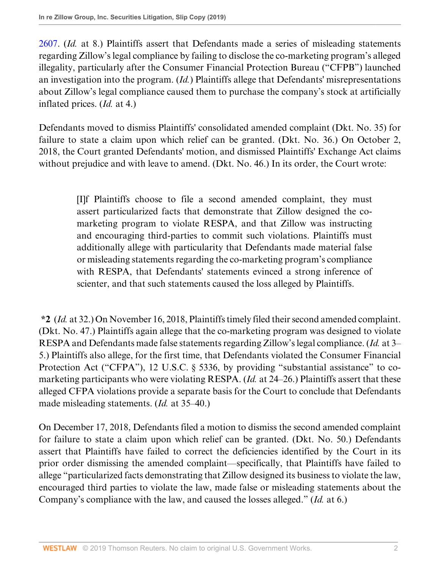[2607](http://www.westlaw.com/Link/Document/FullText?findType=L&pubNum=1000546&cite=12USCAS2607&originatingDoc=Ia2b1702064d511e9a6438b9dc1ba0379&refType=LQ&originationContext=document&vr=3.0&rs=cblt1.0&transitionType=DocumentItem&contextData=(sc.Default)). (*Id.* at 8.) Plaintiffs assert that Defendants made a series of misleading statements regarding Zillow's legal compliance by failing to disclose the co-marketing program's alleged illegality, particularly after the Consumer Financial Protection Bureau ("CFPB") launched an investigation into the program. (*Id.*) Plaintiffs allege that Defendants' misrepresentations about Zillow's legal compliance caused them to purchase the company's stock at artificially inflated prices. (*Id.* at 4.)

Defendants moved to dismiss Plaintiffs' consolidated amended complaint (Dkt. No. 35) for failure to state a claim upon which relief can be granted. (Dkt. No. 36.) On October 2, 2018, the Court granted Defendants' motion, and dismissed Plaintiffs' Exchange Act claims without prejudice and with leave to amend. (Dkt. No. 46.) In its order, the Court wrote:

> [I]f Plaintiffs choose to file a second amended complaint, they must assert particularized facts that demonstrate that Zillow designed the comarketing program to violate RESPA, and that Zillow was instructing and encouraging third-parties to commit such violations. Plaintiffs must additionally allege with particularity that Defendants made material false or misleading statements regarding the co-marketing program's compliance with RESPA, that Defendants' statements evinced a strong inference of scienter, and that such statements caused the loss alleged by Plaintiffs.

**\*2** (*Id.* at 32.) On November 16, 2018, Plaintiffs timely filed their second amended complaint. (Dkt. No. 47.) Plaintiffs again allege that the co-marketing program was designed to violate RESPA and Defendants made false statements regarding Zillow's legal compliance. (*Id.* at 3– 5.) Plaintiffs also allege, for the first time, that Defendants violated the Consumer Financial Protection Act ("CFPA"), 12 U.S.C. § 5336, by providing "substantial assistance" to comarketing participants who were violating RESPA. (*Id.* at 24–26.) Plaintiffs assert that these alleged CFPA violations provide a separate basis for the Court to conclude that Defendants made misleading statements. (*Id.* at 35–40.)

On December 17, 2018, Defendants filed a motion to dismiss the second amended complaint for failure to state a claim upon which relief can be granted. (Dkt. No. 50.) Defendants assert that Plaintiffs have failed to correct the deficiencies identified by the Court in its prior order dismissing the amended complaint—specifically, that Plaintiffs have failed to allege "particularized facts demonstrating that Zillow designed its business to violate the law, encouraged third parties to violate the law, made false or misleading statements about the Company's compliance with the law, and caused the losses alleged." (*Id.* at 6.)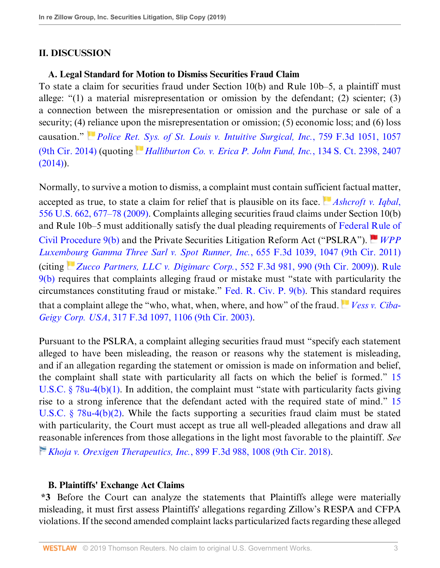## **II. DISCUSSION**

### **A. Legal Standard for Motion to Dismiss Securities Fraud Claim**

To state a claim for securities fraud under Section 10(b) and Rule 10b–5, a plaintiff must allege: "(1) a material misrepresentation or omission by the defendant; (2) scienter; (3) a connection between the misrepresentation or omission and the purchase or sale of a security; (4) [rel](https://1.next.westlaw.com/Link/RelatedInformation/Flag?documentGuid=I4a9802cd0d2311e490d4edf60ce7d742&transitionType=InlineKeyCiteFlags&originationContext=docHeaderFlag&contextData=(sc.Default) )iance upon the misrepresentation or omission; (5) economic loss; and (6) loss causation." *[Police Ret. Sys. of St. Louis v. Intuitive Surgical, Inc.](http://www.westlaw.com/Link/Document/FullText?findType=Y&serNum=2033853433&pubNum=0000506&originatingDoc=Ia2b1702064d511e9a6438b9dc1ba0379&refType=RP&fi=co_pp_sp_506_1057&originationContext=document&vr=3.0&rs=cblt1.0&transitionType=DocumentItem&contextData=(sc.Default)#co_pp_sp_506_1057)*, 759 F.3d 1051, 1057 [\(9th Cir. 2014\)](http://www.westlaw.com/Link/Document/FullText?findType=Y&serNum=2033853433&pubNum=0000506&originatingDoc=Ia2b1702064d511e9a6438b9dc1ba0379&refType=RP&fi=co_pp_sp_506_1057&originationContext=document&vr=3.0&rs=cblt1.0&transitionType=DocumentItem&contextData=(sc.Default)#co_pp_sp_506_1057) (quoting *[Halliburton Co. v. Erica P. John Fund, Inc.](http://www.westlaw.com/Link/Document/FullText?findType=Y&serNum=2033642715&pubNum=0000708&originatingDoc=Ia2b1702064d511e9a6438b9dc1ba0379&refType=RP&fi=co_pp_sp_708_2407&originationContext=document&vr=3.0&rs=cblt1.0&transitionType=DocumentItem&contextData=(sc.Default)#co_pp_sp_708_2407)*, 134 S. Ct. 2398, 2407  $(2014)$ ).

Normally, to survive a motion to dismiss, a complaint must contain suffi[cie](https://1.next.westlaw.com/Link/RelatedInformation/Flag?documentGuid=I90623386439011de8bf6cd8525c41437&transitionType=InlineKeyCiteFlags&originationContext=docHeaderFlag&contextData=(sc.Default) )nt factual matter, accepted as true, to state a claim for relief that is plausible on its face. *Ashcroft v. Igbal*, [556 U.S. 662, 677–78 \(2009\).](http://www.westlaw.com/Link/Document/FullText?findType=Y&serNum=2018848474&pubNum=0000780&originatingDoc=Ia2b1702064d511e9a6438b9dc1ba0379&refType=RP&fi=co_pp_sp_780_677&originationContext=document&vr=3.0&rs=cblt1.0&transitionType=DocumentItem&contextData=(sc.Default)#co_pp_sp_780_677) Complaints alleging securities fraud claims under Section 10(b) and Rule 10b–5 must additionally satisfy the dual pleading requirements of [Federal Rule of](http://www.westlaw.com/Link/Document/FullText?findType=L&pubNum=1000600&cite=USFRCPR9&originatingDoc=Ia2b1702064d511e9a6438b9dc1ba0379&refType=LQ&originationContext=document&vr=3.0&rs=cblt1.0&transitionType=DocumentItem&contextData=(sc.Default)) [Civil Procedure 9\(b\)](http://www.westlaw.com/Link/Document/FullText?findType=L&pubNum=1000600&cite=USFRCPR9&originatingDoc=Ia2b1702064d511e9a6438b9dc1ba0379&refType=LQ&originationContext=document&vr=3.0&rs=cblt1.0&transitionType=DocumentItem&contextData=(sc.Default)) and the Private Securities Litigation Reform Act ("PSLRA"). *[WPP](http://www.westlaw.com/Link/Document/FullText?findType=Y&serNum=2025920521&pubNum=0000506&originatingDoc=Ia2b1702064d511e9a6438b9dc1ba0379&refType=RP&fi=co_pp_sp_506_1047&originationContext=document&vr=3.0&rs=cblt1.0&transitionType=DocumentItem&contextData=(sc.Default)#co_pp_sp_506_1047) [Luxembourg Gamma Three Sarl v. Spot Runner, Inc.](http://www.westlaw.com/Link/Document/FullText?findType=Y&serNum=2025920521&pubNum=0000506&originatingDoc=Ia2b1702064d511e9a6438b9dc1ba0379&refType=RP&fi=co_pp_sp_506_1047&originationContext=document&vr=3.0&rs=cblt1.0&transitionType=DocumentItem&contextData=(sc.Default)#co_pp_sp_506_1047)*, 655 F.3d 1039, 1047 (9th Cir. 2011) (citing *[Zucco Partners, LLC v. Digimarc Corp.](http://www.westlaw.com/Link/Document/FullText?findType=Y&serNum=2017861926&pubNum=0000506&originatingDoc=Ia2b1702064d511e9a6438b9dc1ba0379&refType=RP&fi=co_pp_sp_506_990&originationContext=document&vr=3.0&rs=cblt1.0&transitionType=DocumentItem&contextData=(sc.Default)#co_pp_sp_506_990)*, 552 F.3d 981, 990 (9th Cir. 2009)). [Rule](http://www.westlaw.com/Link/Document/FullText?findType=L&pubNum=1000600&cite=USFRCPR9&originatingDoc=Ia2b1702064d511e9a6438b9dc1ba0379&refType=LQ&originationContext=document&vr=3.0&rs=cblt1.0&transitionType=DocumentItem&contextData=(sc.Default)) [9\(b\)](http://www.westlaw.com/Link/Document/FullText?findType=L&pubNum=1000600&cite=USFRCPR9&originatingDoc=Ia2b1702064d511e9a6438b9dc1ba0379&refType=LQ&originationContext=document&vr=3.0&rs=cblt1.0&transitionType=DocumentItem&contextData=(sc.Default)) requires that complaints alleging fraud or mistake must "state with particularity the circumstances constituting fraud or mistake." [Fed. R. Civ. P. 9\(b\).](http://www.westlaw.com/Link/Document/FullText?findType=L&pubNum=1000600&cite=USFRCPR9&originatingDoc=Ia2b1702064d511e9a6438b9dc1ba0379&refType=LQ&originationContext=document&vr=3.0&rs=cblt1.0&transitionType=DocumentItem&contextData=(sc.Default)) This st[and](https://1.next.westlaw.com/Link/RelatedInformation/Flag?documentGuid=I6e46fde689c111d9b6ea9f5a173c4523&transitionType=InlineKeyCiteFlags&originationContext=docHeaderFlag&contextData=(sc.Default) )ard requires that a complaint allege the "who, what, when, where, and how" of the fraud. *[Vess v. Ciba-](http://www.westlaw.com/Link/Document/FullText?findType=Y&serNum=2003124194&pubNum=0000506&originatingDoc=Ia2b1702064d511e9a6438b9dc1ba0379&refType=RP&fi=co_pp_sp_506_1106&originationContext=document&vr=3.0&rs=cblt1.0&transitionType=DocumentItem&contextData=(sc.Default)#co_pp_sp_506_1106)Geigy Corp. USA*[, 317 F.3d 1097, 1106 \(9th Cir. 2003\)](http://www.westlaw.com/Link/Document/FullText?findType=Y&serNum=2003124194&pubNum=0000506&originatingDoc=Ia2b1702064d511e9a6438b9dc1ba0379&refType=RP&fi=co_pp_sp_506_1106&originationContext=document&vr=3.0&rs=cblt1.0&transitionType=DocumentItem&contextData=(sc.Default)#co_pp_sp_506_1106).

Pursuant to the PSLRA, a complaint alleging securities fraud must "specify each statement alleged to have been misleading, the reason or reasons why the statement is misleading, and if an allegation regarding the statement or omission is made on information and belief, the complaint shall state with particularity all facts on which the belief is formed." [15](http://www.westlaw.com/Link/Document/FullText?findType=L&pubNum=1000546&cite=15USCAS78U-4&originatingDoc=Ia2b1702064d511e9a6438b9dc1ba0379&refType=RB&originationContext=document&vr=3.0&rs=cblt1.0&transitionType=DocumentItem&contextData=(sc.Default)#co_pp_3fed000053a85) [U.S.C. § 78u-4\(b\)\(1\).](http://www.westlaw.com/Link/Document/FullText?findType=L&pubNum=1000546&cite=15USCAS78U-4&originatingDoc=Ia2b1702064d511e9a6438b9dc1ba0379&refType=RB&originationContext=document&vr=3.0&rs=cblt1.0&transitionType=DocumentItem&contextData=(sc.Default)#co_pp_3fed000053a85) In addition, the complaint must "state with particularity facts giving rise to a strong inference that the defendant acted with the required state of mind." [15](http://www.westlaw.com/Link/Document/FullText?findType=L&pubNum=1000546&cite=15USCAS78U-4&originatingDoc=Ia2b1702064d511e9a6438b9dc1ba0379&refType=RB&originationContext=document&vr=3.0&rs=cblt1.0&transitionType=DocumentItem&contextData=(sc.Default)#co_pp_c0ae00006c482) [U.S.C. § 78u-4\(b\)\(2\)](http://www.westlaw.com/Link/Document/FullText?findType=L&pubNum=1000546&cite=15USCAS78U-4&originatingDoc=Ia2b1702064d511e9a6438b9dc1ba0379&refType=RB&originationContext=document&vr=3.0&rs=cblt1.0&transitionType=DocumentItem&contextData=(sc.Default)#co_pp_c0ae00006c482). While the facts supporting a securities fraud claim must be stated with particularity, the Court must accept as true all well-pleaded allegations and draw all [rea](https://1.next.westlaw.com/Link/RelatedInformation/Flag?documentGuid=I9120ac409f1411e892c4ce5625aacf64&transitionType=InlineKeyCiteFlags&originationContext=docHeaderFlag&contextData=(sc.Default) )sonable inferences from those allegations in the light most favorable to the plaintiff. *See [Khoja v. Orexigen Therapeutics, Inc.](http://www.westlaw.com/Link/Document/FullText?findType=Y&serNum=2045261866&pubNum=0000506&originatingDoc=Ia2b1702064d511e9a6438b9dc1ba0379&refType=RP&fi=co_pp_sp_506_1008&originationContext=document&vr=3.0&rs=cblt1.0&transitionType=DocumentItem&contextData=(sc.Default)#co_pp_sp_506_1008)*, 899 F.3d 988, 1008 (9th Cir. 2018).

### **B. Plaintiffs' Exchange Act Claims**

**\*3** Before the Court can analyze the statements that Plaintiffs allege were materially misleading, it must first assess Plaintiffs' allegations regarding Zillow's RESPA and CFPA violations. If the second amended complaint lacks particularized facts regarding these alleged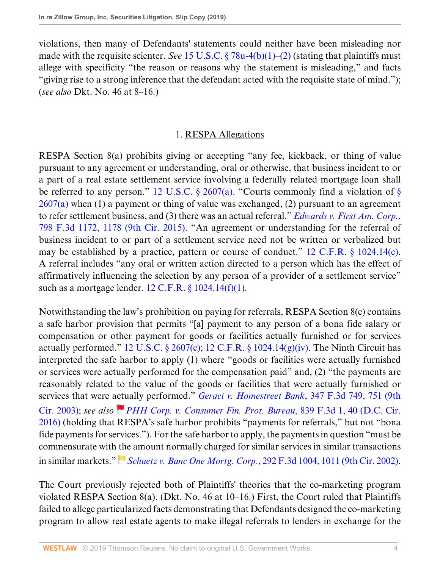violations, then many of Defendants' statements could neither have been misleading nor made with the requisite scienter. *See* [15 U.S.C. § 78u-4\(b\)\(1\)–\(2\)](http://www.westlaw.com/Link/Document/FullText?findType=L&pubNum=1000546&cite=15USCAS78U-4&originatingDoc=Ia2b1702064d511e9a6438b9dc1ba0379&refType=RB&originationContext=document&vr=3.0&rs=cblt1.0&transitionType=DocumentItem&contextData=(sc.Default)#co_pp_3fed000053a85) (stating that plaintiffs must allege with specificity "the reason or reasons why the statement is misleading," and facts "giving rise to a strong inference that the defendant acted with the requisite state of mind."); (*see also* Dkt. No. 46 at 8–16.)

## 1. RESPA Allegations

RESPA Section 8(a) prohibits giving or accepting "any fee, kickback, or thing of value pursuant to any agreement or understanding, oral or otherwise, that business incident to or a part of a real estate settlement service involving a federally related mortgage loan shall be referred to any person." 12 U.S.C.  $\S$  2607(a). "Courts commonly find a violation of  $\S$  $2607(a)$  when (1) a payment or thing of value was exchanged, (2) pursuant to an agreement to refer settlement business, and (3) there was an actual referral." *[Edwards v. First Am. Corp.](http://www.westlaw.com/Link/Document/FullText?findType=Y&serNum=2036944825&pubNum=0000506&originatingDoc=Ia2b1702064d511e9a6438b9dc1ba0379&refType=RP&fi=co_pp_sp_506_1178&originationContext=document&vr=3.0&rs=cblt1.0&transitionType=DocumentItem&contextData=(sc.Default)#co_pp_sp_506_1178)*, [798 F.3d 1172, 1178 \(9th Cir. 2015\).](http://www.westlaw.com/Link/Document/FullText?findType=Y&serNum=2036944825&pubNum=0000506&originatingDoc=Ia2b1702064d511e9a6438b9dc1ba0379&refType=RP&fi=co_pp_sp_506_1178&originationContext=document&vr=3.0&rs=cblt1.0&transitionType=DocumentItem&contextData=(sc.Default)#co_pp_sp_506_1178) "An agreement or understanding for the referral of business incident to or part of a settlement service need not be written or verbalized but may be established by a practice, pattern or course of conduct." [12 C.F.R. § 1024.14\(e\)](http://www.westlaw.com/Link/Document/FullText?findType=L&pubNum=1000547&cite=12CFRS1024.14&originatingDoc=Ia2b1702064d511e9a6438b9dc1ba0379&refType=RB&originationContext=document&vr=3.0&rs=cblt1.0&transitionType=DocumentItem&contextData=(sc.Default)#co_pp_7fdd00001ca15). A referral includes "any oral or written action directed to a person which has the effect of affirmatively influencing the selection by any person of a provider of a settlement service" such as a mortgage lender.  $12$  C.F.R. §  $1024.14(f)(1)$ .

Notwithstanding the law's prohibition on paying for referrals, RESPA Section 8(c) contains a safe harbor provision that permits "[a] payment to any person of a bona fide salary or compensation or other payment for goods or facilities actually furnished or for services actually performed." [12 U.S.C. § 2607\(c\);](http://www.westlaw.com/Link/Document/FullText?findType=L&pubNum=1000546&cite=12USCAS2607&originatingDoc=Ia2b1702064d511e9a6438b9dc1ba0379&refType=RB&originationContext=document&vr=3.0&rs=cblt1.0&transitionType=DocumentItem&contextData=(sc.Default)#co_pp_4b24000003ba5) [12 C.F.R. § 1024.14\(g\)\(iv\)](http://www.westlaw.com/Link/Document/FullText?findType=L&pubNum=1000547&cite=12CFRS1024.14&originatingDoc=Ia2b1702064d511e9a6438b9dc1ba0379&refType=RB&originationContext=document&vr=3.0&rs=cblt1.0&transitionType=DocumentItem&contextData=(sc.Default)#co_pp_16f4000091d86). The Ninth Circuit has interpreted the safe harbor to apply (1) where "goods or facilities were actually furnished or services were actually performed for the compensation paid" and, (2) "the payments are reasonably related to the value of the goods or facilities that were actually furnished or services that were [actu](https://1.next.westlaw.com/Link/RelatedInformation/Flag?documentGuid=I6b5fc2e08ffb11e6a46fa4c1b9f16bf3&transitionType=InlineKeyCiteFlags&originationContext=docHeaderFlag&contextData=(sc.Default) )ally performed." *[Geraci v. Homestreet Bank](http://www.westlaw.com/Link/Document/FullText?findType=Y&serNum=2003710437&pubNum=0000506&originatingDoc=Ia2b1702064d511e9a6438b9dc1ba0379&refType=RP&fi=co_pp_sp_506_751&originationContext=document&vr=3.0&rs=cblt1.0&transitionType=DocumentItem&contextData=(sc.Default)#co_pp_sp_506_751)*, 347 F.3d 749, 751 (9th [Cir. 2003\)](http://www.westlaw.com/Link/Document/FullText?findType=Y&serNum=2003710437&pubNum=0000506&originatingDoc=Ia2b1702064d511e9a6438b9dc1ba0379&refType=RP&fi=co_pp_sp_506_751&originationContext=document&vr=3.0&rs=cblt1.0&transitionType=DocumentItem&contextData=(sc.Default)#co_pp_sp_506_751); *see also [PHH Corp. v. Consumer Fin. Prot. Bureau](http://www.westlaw.com/Link/Document/FullText?findType=Y&serNum=2039977790&pubNum=0000506&originatingDoc=Ia2b1702064d511e9a6438b9dc1ba0379&refType=RP&fi=co_pp_sp_506_40&originationContext=document&vr=3.0&rs=cblt1.0&transitionType=DocumentItem&contextData=(sc.Default)#co_pp_sp_506_40)*, 839 F.3d 1, 40 (D.C. Cir. [2016\)](http://www.westlaw.com/Link/Document/FullText?findType=Y&serNum=2039977790&pubNum=0000506&originatingDoc=Ia2b1702064d511e9a6438b9dc1ba0379&refType=RP&fi=co_pp_sp_506_40&originationContext=document&vr=3.0&rs=cblt1.0&transitionType=DocumentItem&contextData=(sc.Default)#co_pp_sp_506_40) (holding that RESPA's safe harbor prohibits "payments for referrals," but not "bona fide payments for services."). For the safe harbor to apply, the payments in question "must be commensurate with [the](https://1.next.westlaw.com/Link/RelatedInformation/Flag?documentGuid=Ibd2cd8b379d811d98c82a53fc8ac8757&transitionType=InlineKeyCiteFlags&originationContext=docHeaderFlag&contextData=(sc.Default) ) amount normally charged for similar services in similar transactions in similar markets." *Schuetz v. Banc One Mortg. Corp.*[, 292 F.3d 1004, 1011 \(9th Cir. 2002\)](http://www.westlaw.com/Link/Document/FullText?findType=Y&serNum=2002357918&pubNum=0000506&originatingDoc=Ia2b1702064d511e9a6438b9dc1ba0379&refType=RP&fi=co_pp_sp_506_1011&originationContext=document&vr=3.0&rs=cblt1.0&transitionType=DocumentItem&contextData=(sc.Default)#co_pp_sp_506_1011).

The Court previously rejected both of Plaintiffs' theories that the co-marketing program violated RESPA Section 8(a). (Dkt. No. 46 at 10–16.) First, the Court ruled that Plaintiffs failed to allege particularized facts demonstrating that Defendants designed the co-marketing program to allow real estate agents to make illegal referrals to lenders in exchange for the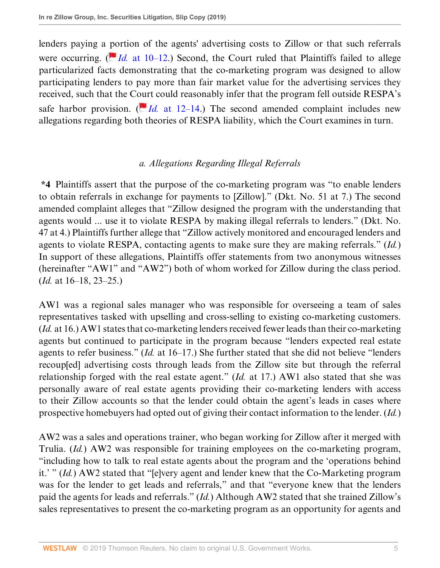lenders paying a [po](https://1.next.westlaw.com/Link/RelatedInformation/Flag?documentGuid=I6b5fc2e08ffb11e6a46fa4c1b9f16bf3&transitionType=InlineKeyCiteFlags&originationContext=docHeaderFlag&contextData=(sc.Default) )rtion of the agents' advertising costs to Zillow or that such referrals were occurring.  $\left(\frac{\text{I}}{\text{Id}}\right)$  [at 10–12](http://www.westlaw.com/Link/Document/FullText?findType=Y&serNum=2039977790&pubNum=0000506&originatingDoc=Ia2b1702064d511e9a6438b9dc1ba0379&refType=RP&fi=co_pp_sp_506_10&originationContext=document&vr=3.0&rs=cblt1.0&transitionType=DocumentItem&contextData=(sc.Default)#co_pp_sp_506_10).) Second, the Court ruled that Plaintiffs failed to allege particularized facts demonstrating that the co-marketing program was designed to allow participating lenders to pay more than fair market value for the advertising services they received, such that the C[our](https://1.next.westlaw.com/Link/RelatedInformation/Flag?documentGuid=I6b5fc2e08ffb11e6a46fa4c1b9f16bf3&transitionType=InlineKeyCiteFlags&originationContext=docHeaderFlag&contextData=(sc.Default) )t could reasonably infer that the program fell outside RESPA's safe harbor provision. ( $\overline{Id}$  [at 12–14.](http://www.westlaw.com/Link/Document/FullText?findType=Y&serNum=2039977790&pubNum=0000506&originatingDoc=Ia2b1702064d511e9a6438b9dc1ba0379&refType=RP&fi=co_pp_sp_506_12&originationContext=document&vr=3.0&rs=cblt1.0&transitionType=DocumentItem&contextData=(sc.Default)#co_pp_sp_506_12)) The second amended complaint includes new allegations regarding both theories of RESPA liability, which the Court examines in turn.

### *a. Allegations Regarding Illegal Referrals*

**\*4** Plaintiffs assert that the purpose of the co-marketing program was "to enable lenders to obtain referrals in exchange for payments to [Zillow]." (Dkt. No. 51 at 7.) The second amended complaint alleges that "Zillow designed the program with the understanding that agents would ... use it to violate RESPA by making illegal referrals to lenders." (Dkt. No. 47 at 4.) Plaintiffs further allege that "Zillow actively monitored and encouraged lenders and agents to violate RESPA, contacting agents to make sure they are making referrals." (*Id.*) In support of these allegations, Plaintiffs offer statements from two anonymous witnesses (hereinafter "AW1" and "AW2") both of whom worked for Zillow during the class period. (*Id.* at 16–18, 23–25.)

AW1 was a regional sales manager who was responsible for overseeing a team of sales representatives tasked with upselling and cross-selling to existing co-marketing customers. (*Id.* at 16.) AW1 states that co-marketing lenders received fewer leads than their co-marketing agents but continued to participate in the program because "lenders expected real estate agents to refer business." (*Id.* at 16–17.) She further stated that she did not believe "lenders recoup[ed] advertising costs through leads from the Zillow site but through the referral relationship forged with the real estate agent." (*Id.* at 17.) AW1 also stated that she was personally aware of real estate agents providing their co-marketing lenders with access to their Zillow accounts so that the lender could obtain the agent's leads in cases where prospective homebuyers had opted out of giving their contact information to the lender. (*Id.*)

AW2 was a sales and operations trainer, who began working for Zillow after it merged with Trulia. (*Id.*) AW2 was responsible for training employees on the co-marketing program, "including how to talk to real estate agents about the program and the 'operations behind it.' " (*Id.*) AW2 stated that "[e]very agent and lender knew that the Co-Marketing program was for the lender to get leads and referrals," and that "everyone knew that the lenders paid the agents for leads and referrals." (*Id.*) Although AW2 stated that she trained Zillow's sales representatives to present the co-marketing program as an opportunity for agents and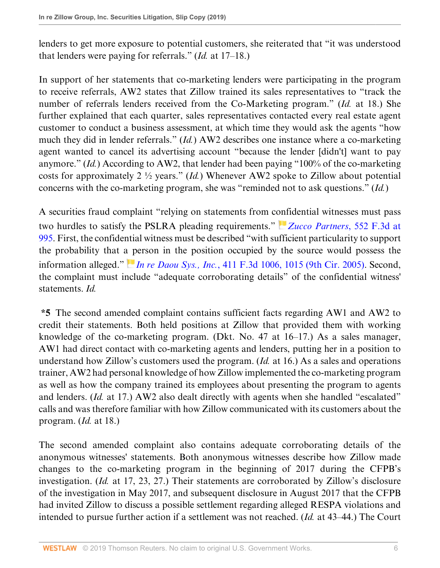lenders to get more exposure to potential customers, she reiterated that "it was understood that lenders were paying for referrals." (*Id.* at 17–18.)

In support of her statements that co-marketing lenders were participating in the program to receive referrals, AW2 states that Zillow trained its sales representatives to "track the number of referrals lenders received from the Co-Marketing program." (*Id.* at 18.) She further explained that each quarter, sales representatives contacted every real estate agent customer to conduct a business assessment, at which time they would ask the agents "how much they did in lender referrals." (*Id.*) AW2 describes one instance where a co-marketing agent wanted to cancel its advertising account "because the lender [didn't] want to pay anymore." (*Id.*) According to AW2, that lender had been paying "100% of the co-marketing costs for approximately 2 ½ years." (*Id.*) Whenever AW2 spoke to Zillow about potential concerns with the co-marketing program, she was "reminded not to ask questions." (*Id.*)

A securities fraud complaint "relying on statements from c[onf](https://1.next.westlaw.com/Link/RelatedInformation/Flag?documentGuid=Iea6d1660e0d011ddbc7bf97f340af743&transitionType=InlineKeyCiteFlags&originationContext=docHeaderFlag&contextData=(sc.Default) )idential witnesses must pass two hurdles to satisfy the PSLRA pleading requirements." *[Zucco Partners](http://www.westlaw.com/Link/Document/FullText?findType=Y&serNum=2017861926&pubNum=0000506&originatingDoc=Ia2b1702064d511e9a6438b9dc1ba0379&refType=RP&fi=co_pp_sp_506_995&originationContext=document&vr=3.0&rs=cblt1.0&transitionType=DocumentItem&contextData=(sc.Default)#co_pp_sp_506_995)*, 552 F.3d at [995.](http://www.westlaw.com/Link/Document/FullText?findType=Y&serNum=2017861926&pubNum=0000506&originatingDoc=Ia2b1702064d511e9a6438b9dc1ba0379&refType=RP&fi=co_pp_sp_506_995&originationContext=document&vr=3.0&rs=cblt1.0&transitionType=DocumentItem&contextData=(sc.Default)#co_pp_sp_506_995) First, the confidential witness must be described "with sufficient particularity to support the probability that [a p](https://1.next.westlaw.com/Link/RelatedInformation/Flag?documentGuid=Ia27352a1e18f11d98ac8f235252e36df&transitionType=InlineKeyCiteFlags&originationContext=docHeaderFlag&contextData=(sc.Default) )erson in the position occupied by the source would possess the information alleged." *In re Daou Sys., Inc.*[, 411 F.3d 1006, 1015 \(9th Cir. 2005\)](http://www.westlaw.com/Link/Document/FullText?findType=Y&serNum=2006824880&pubNum=0000506&originatingDoc=Ia2b1702064d511e9a6438b9dc1ba0379&refType=RP&fi=co_pp_sp_506_1015&originationContext=document&vr=3.0&rs=cblt1.0&transitionType=DocumentItem&contextData=(sc.Default)#co_pp_sp_506_1015). Second, the complaint must include "adequate corroborating details" of the confidential witness' statements. *Id.*

**\*5** The second amended complaint contains sufficient facts regarding AW1 and AW2 to credit their statements. Both held positions at Zillow that provided them with working knowledge of the co-marketing program. (Dkt. No. 47 at 16–17.) As a sales manager, AW1 had direct contact with co-marketing agents and lenders, putting her in a position to understand how Zillow's customers used the program. (*Id.* at 16.) As a sales and operations trainer, AW2 had personal knowledge of how Zillow implemented the co-marketing program as well as how the company trained its employees about presenting the program to agents and lenders. (*Id.* at 17.) AW2 also dealt directly with agents when she handled "escalated" calls and was therefore familiar with how Zillow communicated with its customers about the program. (*Id.* at 18.)

The second amended complaint also contains adequate corroborating details of the anonymous witnesses' statements. Both anonymous witnesses describe how Zillow made changes to the co-marketing program in the beginning of 2017 during the CFPB's investigation. (*Id.* at 17, 23, 27.) Their statements are corroborated by Zillow's disclosure of the investigation in May 2017, and subsequent disclosure in August 2017 that the CFPB had invited Zillow to discuss a possible settlement regarding alleged RESPA violations and intended to pursue further action if a settlement was not reached. (*Id.* at 43–44.) The Court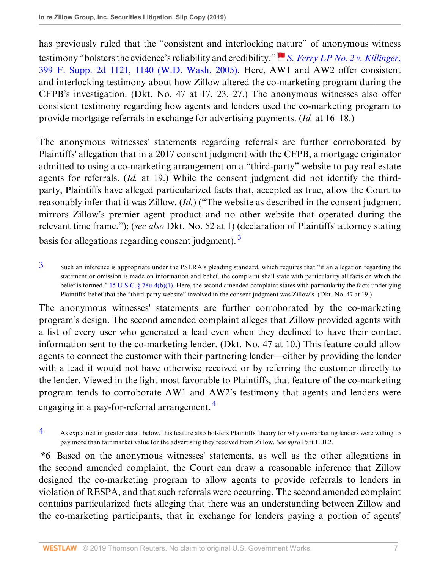has previously ruled that the "consistent and interlocking [nat](https://1.next.westlaw.com/Link/RelatedInformation/Flag?documentGuid=I882bd4da57b211da8cc9b4c14e983401&transitionType=InlineKeyCiteFlags&originationContext=docHeaderFlag&contextData=(sc.Default) )ure" of anonymous witness testimony "bolsters the evidence's reliability and credibility." *[S. Ferry LP No. 2 v. Killinger](http://www.westlaw.com/Link/Document/FullText?findType=Y&serNum=2007705591&pubNum=0004637&originatingDoc=Ia2b1702064d511e9a6438b9dc1ba0379&refType=RP&fi=co_pp_sp_4637_1140&originationContext=document&vr=3.0&rs=cblt1.0&transitionType=DocumentItem&contextData=(sc.Default)#co_pp_sp_4637_1140)*, [399 F. Supp. 2d 1121, 1140 \(W.D. Wash. 2005\)](http://www.westlaw.com/Link/Document/FullText?findType=Y&serNum=2007705591&pubNum=0004637&originatingDoc=Ia2b1702064d511e9a6438b9dc1ba0379&refType=RP&fi=co_pp_sp_4637_1140&originationContext=document&vr=3.0&rs=cblt1.0&transitionType=DocumentItem&contextData=(sc.Default)#co_pp_sp_4637_1140). Here, AW1 and AW2 offer consistent and interlocking testimony about how Zillow altered the co-marketing program during the CFPB's investigation. (Dkt. No. 47 at 17, 23, 27.) The anonymous witnesses also offer consistent testimony regarding how agents and lenders used the co-marketing program to provide mortgage referrals in exchange for advertising payments. (*Id.* at 16–18.)

The anonymous witnesses' statements regarding referrals are further corroborated by Plaintiffs' allegation that in a 2017 consent judgment with the CFPB, a mortgage originator admitted to using a co-marketing arrangement on a "third-party" website to pay real estate agents for referrals. (*Id.* at 19.) While the consent judgment did not identify the thirdparty, Plaintiffs have alleged particularized facts that, accepted as true, allow the Court to reasonably infer that it was Zillow. (*Id.*) ("The website as described in the consent judgment mirrors Zillow's premier agent product and no other website that operated during the relevant time frame."); (*see also* Dkt. No. 52 at 1) (declaration of Plaintiffs' attorney stating basis for allegations regarding consent judgment).  $3$ 

<span id="page-6-1"></span><span id="page-6-0"></span> $3$  Such an inference is appropriate under the PSLRA's pleading standard, which requires that "if an allegation regarding the statement or omission is made on information and belief, the complaint shall state with particularity all facts on which the belief is formed." 15 U.S.C.  $\S 78u-4(b)(1)$ . Here, the second amended complaint states with particularity the facts underlying Plaintiffs' belief that the "third-party website" involved in the consent judgment was Zillow's. (Dkt. No. 47 at 19.)

The anonymous witnesses' statements are further corroborated by the co-marketing program's design. The second amended complaint alleges that Zillow provided agents with a list of every user who generated a lead even when they declined to have their contact information sent to the co-marketing lender. (Dkt. No. 47 at 10.) This feature could allow agents to connect the customer with their partnering lender—either by providing the lender with a lead it would not have otherwise received or by referring the customer directly to the lender. Viewed in the light most favorable to Plaintiffs, that feature of the co-marketing program tends to corroborate AW1 and AW2's testimony that agents and lenders were engaging in a pay-for-referral arrangement.<sup>[4](#page-6-2)</sup>

<span id="page-6-3"></span><span id="page-6-2"></span>[4](#page-6-3) As explained in greater detail below, this feature also bolsters Plaintiffs' theory for why co-marketing lenders were willing to pay more than fair market value for the advertising they received from Zillow. *See infra* Part II.B.2.

**\*6** Based on the anonymous witnesses' statements, as well as the other allegations in the second amended complaint, the Court can draw a reasonable inference that Zillow designed the co-marketing program to allow agents to provide referrals to lenders in violation of RESPA, and that such referrals were occurring. The second amended complaint contains particularized facts alleging that there was an understanding between Zillow and the co-marketing participants, that in exchange for lenders paying a portion of agents'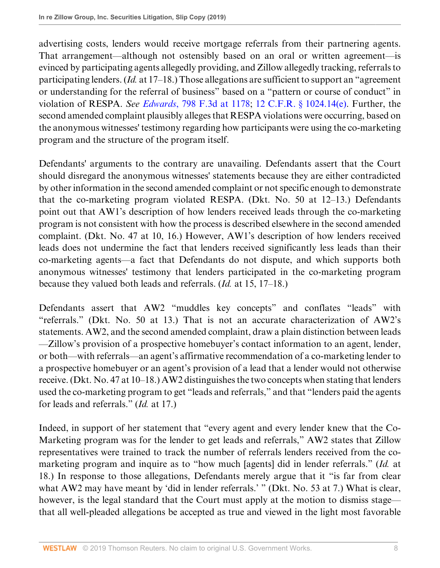advertising costs, lenders would receive mortgage referrals from their partnering agents. That arrangement—although not ostensibly based on an oral or written agreement—is evinced by participating agents allegedly providing, and Zillow allegedly tracking, referrals to participating lenders. (*Id.* at 17–18.) Those allegations are sufficient to support an "agreement or understanding for the referral of business" based on a "pattern or course of conduct" in violation of RESPA. *See Edwards*[, 798 F.3d at 1178](http://www.westlaw.com/Link/Document/FullText?findType=Y&serNum=2036944825&pubNum=0000506&originatingDoc=Ia2b1702064d511e9a6438b9dc1ba0379&refType=RP&fi=co_pp_sp_506_1178&originationContext=document&vr=3.0&rs=cblt1.0&transitionType=DocumentItem&contextData=(sc.Default)#co_pp_sp_506_1178); [12 C.F.R. § 1024.14\(e\)](http://www.westlaw.com/Link/Document/FullText?findType=L&pubNum=1000547&cite=12CFRS1024.14&originatingDoc=Ia2b1702064d511e9a6438b9dc1ba0379&refType=RB&originationContext=document&vr=3.0&rs=cblt1.0&transitionType=DocumentItem&contextData=(sc.Default)#co_pp_7fdd00001ca15). Further, the second amended complaint plausibly alleges that RESPA violations were occurring, based on the anonymous witnesses' testimony regarding how participants were using the co-marketing program and the structure of the program itself.

Defendants' arguments to the contrary are unavailing. Defendants assert that the Court should disregard the anonymous witnesses' statements because they are either contradicted by other information in the second amended complaint or not specific enough to demonstrate that the co-marketing program violated RESPA. (Dkt. No. 50 at 12–13.) Defendants point out that AW1's description of how lenders received leads through the co-marketing program is not consistent with how the process is described elsewhere in the second amended complaint. (Dkt. No. 47 at 10, 16.) However, AW1's description of how lenders received leads does not undermine the fact that lenders received significantly less leads than their co-marketing agents—a fact that Defendants do not dispute, and which supports both anonymous witnesses' testimony that lenders participated in the co-marketing program because they valued both leads and referrals. (*Id.* at 15, 17–18.)

Defendants assert that AW2 "muddles key concepts" and conflates "leads" with "referrals." (Dkt. No. 50 at 13.) That is not an accurate characterization of AW2's statements. AW2, and the second amended complaint, draw a plain distinction between leads —Zillow's provision of a prospective homebuyer's contact information to an agent, lender, or both—with referrals—an agent's affirmative recommendation of a co-marketing lender to a prospective homebuyer or an agent's provision of a lead that a lender would not otherwise receive. (Dkt. No. 47 at 10–18.) AW2 distinguishes the two concepts when stating that lenders used the co-marketing program to get "leads and referrals," and that "lenders paid the agents for leads and referrals." (*Id.* at 17.)

Indeed, in support of her statement that "every agent and every lender knew that the Co-Marketing program was for the lender to get leads and referrals," AW2 states that Zillow representatives were trained to track the number of referrals lenders received from the comarketing program and inquire as to "how much [agents] did in lender referrals." (*Id.* at 18.) In response to those allegations, Defendants merely argue that it "is far from clear what AW2 may have meant by 'did in lender referrals.' " (Dkt. No. 53 at 7.) What is clear, however, is the legal standard that the Court must apply at the motion to dismiss stage that all well-pleaded allegations be accepted as true and viewed in the light most favorable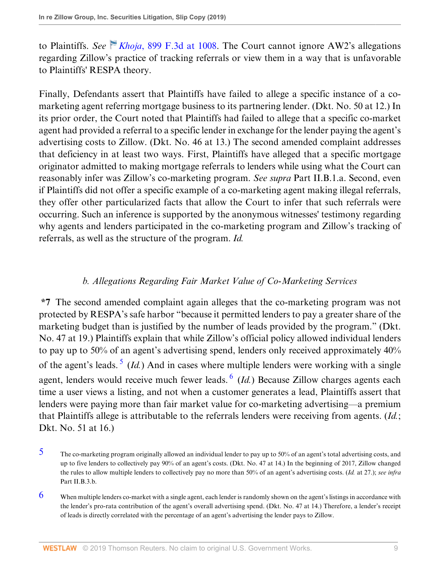to Plaintiffs. *See Khoja*[, 899 F.3d at 1008.](http://www.westlaw.com/Link/Document/FullText?findType=Y&serNum=2045261866&pubNum=0000506&originatingDoc=Ia2b1702064d511e9a6438b9dc1ba0379&refType=RP&fi=co_pp_sp_506_1008&originationContext=document&vr=3.0&rs=cblt1.0&transitionType=DocumentItem&contextData=(sc.Default)#co_pp_sp_506_1008) The Court cannot ignore AW2's allegations regarding Zillow's practice of tracking referrals or view them in a way that is unfavorable to Plaintiffs' RESPA theory.

Finally, Defendants assert that Plaintiffs have failed to allege a specific instance of a comarketing agent referring mortgage business to its partnering lender. (Dkt. No. 50 at 12.) In its prior order, the Court noted that Plaintiffs had failed to allege that a specific co-market agent had provided a referral to a specific lender in exchange for the lender paying the agent's advertising costs to Zillow. (Dkt. No. 46 at 13.) The second amended complaint addresses that deficiency in at least two ways. First, Plaintiffs have alleged that a specific mortgage originator admitted to making mortgage referrals to lenders while using what the Court can reasonably infer was Zillow's co-marketing program. *See supra* Part II.B.1.a. Second, even if Plaintiffs did not offer a specific example of a co-marketing agent making illegal referrals, they offer other particularized facts that allow the Court to infer that such referrals were occurring. Such an inference is supported by the anonymous witnesses' testimony regarding why agents and lenders participated in the co-marketing program and Zillow's tracking of referrals, as well as the structure of the program. *Id.*

### <span id="page-8-3"></span><span id="page-8-2"></span>*b. Allegations Regarding Fair Market Value of Co-Marketing Services*

**\*7** The second amended complaint again alleges that the co-marketing program was not protected by RESPA's safe harbor "because it permitted lenders to pay a greater share of the marketing budget than is justified by the number of leads provided by the program." (Dkt. No. 47 at 19.) Plaintiffs explain that while Zillow's official policy allowed individual lenders to pay up to 50% of an agent's advertising spend, lenders only received approximately 40% of the agent's leads.<sup>[5](#page-8-0)</sup> (*Id.*) And in cases where multiple lenders were working with a single agent, lenders would receive much fewer leads. <sup>[6](#page-8-1)</sup> (Id.) Because Zillow charges agents each time a user views a listing, and not when a customer generates a lead, Plaintiffs assert that lenders were paying more than fair market value for co-marketing advertising—a premium that Plaintiffs allege is attributable to the referrals lenders were receiving from agents. (*Id.*; Dkt. No. 51 at 16.)

<span id="page-8-0"></span> $5$  The co-marketing program originally allowed an individual lender to pay up to 50% of an agent's total advertising costs, and up to five lenders to collectively pay 90% of an agent's costs. (Dkt. No. 47 at 14.) In the beginning of 2017, Zillow changed the rules to allow multiple lenders to collectively pay no more than 50% of an agent's advertising costs. (*Id.* at 27.); *see infra* Part II.B.3.b.

<span id="page-8-1"></span> $6$  When multiple lenders co-market with a single agent, each lender is randomly shown on the agent's listings in accordance with the lender's pro-rata contribution of the agent's overall advertising spend. (Dkt. No. 47 at 14.) Therefore, a lender's receipt of leads is directly correlated with the percentage of an agent's advertising the lender pays to Zillow.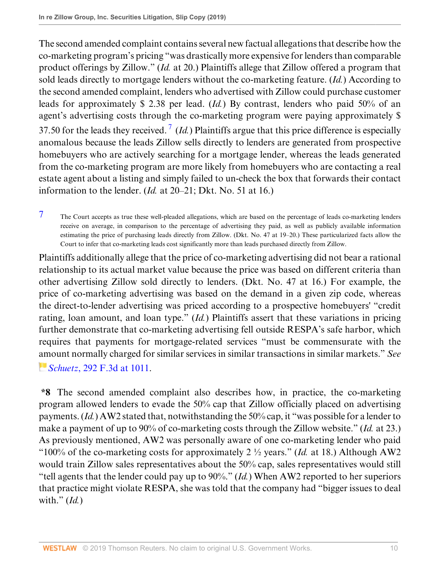<span id="page-9-1"></span>The second amended complaint contains several new factual allegations that describe how the co-marketing program's pricing "was drastically more expensive for lenders than comparable product offerings by Zillow." (*Id.* at 20.) Plaintiffs allege that Zillow offered a program that sold leads directly to mortgage lenders without the co-marketing feature. (*Id.*) According to the second amended complaint, lenders who advertised with Zillow could purchase customer leads for approximately \$ 2.38 per lead. (*Id.*) By contrast, lenders who paid 50% of an agent's advertising costs through the co-marketing program were paying approximately \$ 3[7](#page-9-0).50 for the leads they received.<sup>7</sup> (*Id.*) Plaintiffs argue that this price difference is especially anomalous because the leads Zillow sells directly to lenders are generated from prospective homebuyers who are actively searching for a mortgage lender, whereas the leads generated from the co-marketing program are more likely from homebuyers who are contacting a real estate agent about a listing and simply failed to un-check the box that forwards their contact information to the lender. (*Id.* at 20–21; Dkt. No. 51 at 16.)

<span id="page-9-0"></span>[7](#page-9-1) The Court accepts as true these well-pleaded allegations, which are based on the percentage of leads co-marketing lenders receive on average, in comparison to the percentage of advertising they paid, as well as publicly available information estimating the price of purchasing leads directly from Zillow. (Dkt. No. 47 at 19–20.) These particularized facts allow the Court to infer that co-marketing leads cost significantly more than leads purchased directly from Zillow.

Plaintiffs additionally allege that the price of co-marketing advertising did not bear a rational relationship to its actual market value because the price was based on different criteria than other advertising Zillow sold directly to lenders. (Dkt. No. 47 at 16.) For example, the price of co-marketing advertising was based on the demand in a given zip code, whereas the direct-to-lender advertising was priced according to a prospective homebuyers' "credit rating, loan amount, and loan type." (*Id.*) Plaintiffs assert that these variations in pricing further demonstrate that co-marketing advertising fell outside RESPA's safe harbor, which requires that payments for mortgage-related services "must be commensurate with the [am](https://1.next.westlaw.com/Link/RelatedInformation/Flag?documentGuid=Ibd2cd8b379d811d98c82a53fc8ac8757&transitionType=InlineKeyCiteFlags&originationContext=docHeaderFlag&contextData=(sc.Default) )ount normally charged for similar services in similar transactions in similar markets." *See Schuetz*[, 292 F.3d at 1011.](http://www.westlaw.com/Link/Document/FullText?findType=Y&serNum=2002357918&pubNum=0000506&originatingDoc=Ia2b1702064d511e9a6438b9dc1ba0379&refType=RP&fi=co_pp_sp_506_1011&originationContext=document&vr=3.0&rs=cblt1.0&transitionType=DocumentItem&contextData=(sc.Default)#co_pp_sp_506_1011)

**\*8** The second amended complaint also describes how, in practice, the co-marketing program allowed lenders to evade the 50% cap that Zillow officially placed on advertising payments. (*Id.*) AW2 stated that, notwithstanding the 50% cap, it "was possible for a lender to make a payment of up to 90% of co-marketing costs through the Zillow website." (*Id.* at 23.) As previously mentioned, AW2 was personally aware of one co-marketing lender who paid "100% of the co-marketing costs for approximately 2 ½ years." (*Id.* at 18.) Although AW2 would train Zillow sales representatives about the 50% cap, sales representatives would still "tell agents that the lender could pay up to 90%." (*Id.*) When AW2 reported to her superiors that practice might violate RESPA, she was told that the company had "bigger issues to deal with." (*Id.*)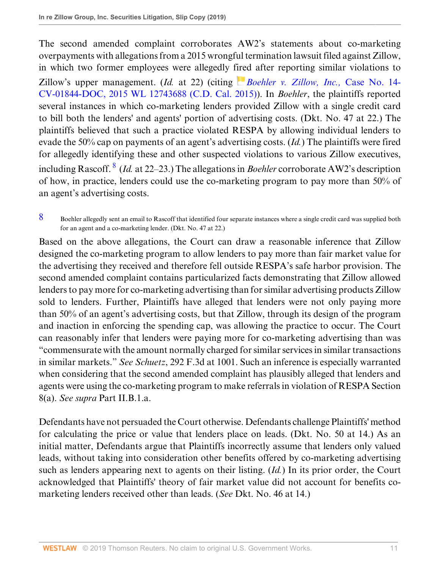The second amended complaint corroborates AW2's statements about co-marketing overpayments with allegations from a 2015 wrongful termination lawsuit filed against Zillow, in which two former employees were allegedly f[ire](https://1.next.westlaw.com/Link/RelatedInformation/Flag?documentGuid=Ibca851c0a76211e6bdb7b23a3c66d5b3&transitionType=InlineKeyCiteFlags&originationContext=docHeaderFlag&contextData=(sc.Default) )d after reporting similar violations to Zillow's upper management. (*Id.* at 22) (citing *[Boehler v. Zillow, Inc.,](http://www.westlaw.com/Link/Document/FullText?findType=Y&serNum=2040277183&pubNum=0000999&originatingDoc=Ia2b1702064d511e9a6438b9dc1ba0379&refType=RP&originationContext=document&vr=3.0&rs=cblt1.0&transitionType=DocumentItem&contextData=(sc.Default))* Case No. 14- [CV-01844-DOC, 2015 WL 12743688 \(C.D. Cal. 2015\)](http://www.westlaw.com/Link/Document/FullText?findType=Y&serNum=2040277183&pubNum=0000999&originatingDoc=Ia2b1702064d511e9a6438b9dc1ba0379&refType=RP&originationContext=document&vr=3.0&rs=cblt1.0&transitionType=DocumentItem&contextData=(sc.Default))). In *Boehler*, the plaintiffs reported several instances in which co-marketing lenders provided Zillow with a single credit card to bill both the lenders' and agents' portion of advertising costs. (Dkt. No. 47 at 22.) The plaintiffs believed that such a practice violated RESPA by allowing individual lenders to evade the 50% cap on payments of an agent's advertising costs. (*Id.*) The plaintiffs were fired for allegedly identifying these and other suspected violations to various Zillow executives, including Rascoff. [8](#page-10-0) (*Id.* at 22–23.) The allegations in *Boehler* corroborate AW2's description of how, in practice, lenders could use the co-marketing program to pay more than 50% of an agent's advertising costs.

Based on the above allegations, the Court can draw a reasonable inference that Zillow designed the co-marketing program to allow lenders to pay more than fair market value for the advertising they received and therefore fell outside RESPA's safe harbor provision. The second amended complaint contains particularized facts demonstrating that Zillow allowed lenders to pay more for co-marketing advertising than for similar advertising products Zillow sold to lenders. Further, Plaintiffs have alleged that lenders were not only paying more than 50% of an agent's advertising costs, but that Zillow, through its design of the program and inaction in enforcing the spending cap, was allowing the practice to occur. The Court can reasonably infer that lenders were paying more for co-marketing advertising than was "commensurate with the amount normally charged for similar services in similar transactions in similar markets." *See Schuetz*, 292 F.3d at 1001. Such an inference is especially warranted when considering that the second amended complaint has plausibly alleged that lenders and agents were using the co-marketing program to make referrals in violation of RESPA Section 8(a). *See supra* Part II.B.1.a.

Defendants have not persuaded the Court otherwise. Defendants challenge Plaintiffs' method for calculating the price or value that lenders place on leads. (Dkt. No. 50 at 14.) As an initial matter, Defendants argue that Plaintiffs incorrectly assume that lenders only valued leads, without taking into consideration other benefits offered by co-marketing advertising such as lenders appearing next to agents on their listing. (*Id.*) In its prior order, the Court acknowledged that Plaintiffs' theory of fair market value did not account for benefits comarketing lenders received other than leads. (*See* Dkt. No. 46 at 14.)

<span id="page-10-1"></span><span id="page-10-0"></span>[<sup>8</sup>](#page-10-1) Boehler allegedly sent an email to Rascoff that identified four separate instances where a single credit card was supplied both for an agent and a co-marketing lender. (Dkt. No. 47 at 22.)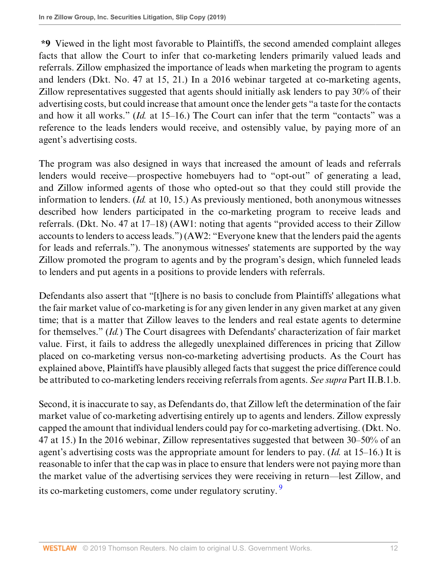**\*9** Viewed in the light most favorable to Plaintiffs, the second amended complaint alleges facts that allow the Court to infer that co-marketing lenders primarily valued leads and referrals. Zillow emphasized the importance of leads when marketing the program to agents and lenders (Dkt. No. 47 at 15, 21.) In a 2016 webinar targeted at co-marketing agents, Zillow representatives suggested that agents should initially ask lenders to pay 30% of their advertising costs, but could increase that amount once the lender gets "a taste for the contacts and how it all works." (*Id.* at 15–16.) The Court can infer that the term "contacts" was a reference to the leads lenders would receive, and ostensibly value, by paying more of an agent's advertising costs.

The program was also designed in ways that increased the amount of leads and referrals lenders would receive—prospective homebuyers had to "opt-out" of generating a lead, and Zillow informed agents of those who opted-out so that they could still provide the information to lenders. (*Id.* at 10, 15.) As previously mentioned, both anonymous witnesses described how lenders participated in the co-marketing program to receive leads and referrals. (Dkt. No. 47 at 17–18) (AW1: noting that agents "provided access to their Zillow accounts to lenders to access leads.") (AW2: "Everyone knew that the lenders paid the agents for leads and referrals."). The anonymous witnesses' statements are supported by the way Zillow promoted the program to agents and by the program's design, which funneled leads to lenders and put agents in a positions to provide lenders with referrals.

Defendants also assert that "[t]here is no basis to conclude from Plaintiffs' allegations what the fair market value of co-marketing is for any given lender in any given market at any given time; that is a matter that Zillow leaves to the lenders and real estate agents to determine for themselves." (*Id.*) The Court disagrees with Defendants' characterization of fair market value. First, it fails to address the allegedly unexplained differences in pricing that Zillow placed on co-marketing versus non-co-marketing advertising products. As the Court has explained above, Plaintiffs have plausibly alleged facts that suggest the price difference could be attributed to co-marketing lenders receiving referrals from agents. *See supra* Part II.B.1.b.

<span id="page-11-0"></span>Second, it is inaccurate to say, as Defendants do, that Zillow left the determination of the fair market value of co-marketing advertising entirely up to agents and lenders. Zillow expressly capped the amount that individual lenders could pay for co-marketing advertising. (Dkt. No. 47 at 15.) In the 2016 webinar, Zillow representatives suggested that between 30–50% of an agent's advertising costs was the appropriate amount for lenders to pay. (*Id.* at 15–16.) It is reasonable to infer that the cap was in place to ensure that lenders were not paying more than the market value of the advertising services they were receiving in return—lest Zillow, and its co-marketing customers, come under regulatory scrutiny.<sup>[9](#page-12-0)</sup>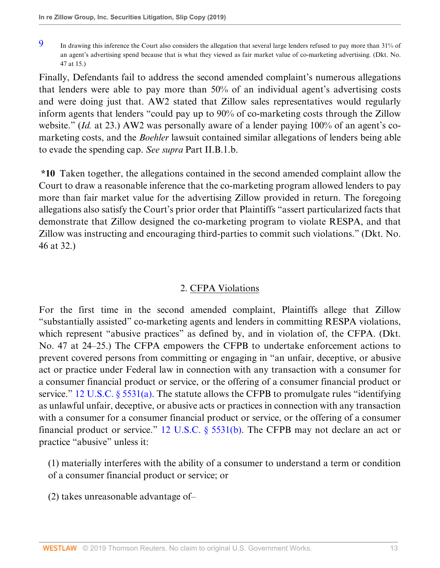Finally, Defendants fail to address the second amended complaint's numerous allegations that lenders were able to pay more than 50% of an individual agent's advertising costs and were doing just that. AW2 stated that Zillow sales representatives would regularly inform agents that lenders "could pay up to 90% of co-marketing costs through the Zillow website." (*Id.* at 23.) AW2 was personally aware of a lender paying 100% of an agent's comarketing costs, and the *Boehler* lawsuit contained similar allegations of lenders being able to evade the spending cap. *See supra* Part II.B.1.b.

**\*10** Taken together, the allegations contained in the second amended complaint allow the Court to draw a reasonable inference that the co-marketing program allowed lenders to pay more than fair market value for the advertising Zillow provided in return. The foregoing allegations also satisfy the Court's prior order that Plaintiffs "assert particularized facts that demonstrate that Zillow designed the co-marketing program to violate RESPA, and that Zillow was instructing and encouraging third-parties to commit such violations." (Dkt. No. 46 at 32.)

## 2. CFPA Violations

For the first time in the second amended complaint, Plaintiffs allege that Zillow "substantially assisted" co-marketing agents and lenders in committing RESPA violations, which represent "abusive practices" as defined by, and in violation of, the CFPA. (Dkt. No. 47 at 24–25.) The CFPA empowers the CFPB to undertake enforcement actions to prevent covered persons from committing or engaging in "an unfair, deceptive, or abusive act or practice under Federal law in connection with any transaction with a consumer for a consumer financial product or service, or the offering of a consumer financial product or service." [12 U.S.C. § 5531\(a\)](http://www.westlaw.com/Link/Document/FullText?findType=L&pubNum=1000546&cite=12USCAS5531&originatingDoc=Ia2b1702064d511e9a6438b9dc1ba0379&refType=RB&originationContext=document&vr=3.0&rs=cblt1.0&transitionType=DocumentItem&contextData=(sc.Default)#co_pp_8b3b0000958a4). The statute allows the CFPB to promulgate rules "identifying as unlawful unfair, deceptive, or abusive acts or practices in connection with any transaction with a consumer for a consumer financial product or service, or the offering of a consumer financial product or service." [12 U.S.C. § 5531\(b\)](http://www.westlaw.com/Link/Document/FullText?findType=L&pubNum=1000546&cite=12USCAS5531&originatingDoc=Ia2b1702064d511e9a6438b9dc1ba0379&refType=RB&originationContext=document&vr=3.0&rs=cblt1.0&transitionType=DocumentItem&contextData=(sc.Default)#co_pp_a83b000018c76). The CFPB may not declare an act or practice "abusive" unless it:

(1) materially interferes with the ability of a consumer to understand a term or condition of a consumer financial product or service; or

(2) takes unreasonable advantage of–

<span id="page-12-0"></span>[<sup>9</sup>](#page-11-0) In drawing this inference the Court also considers the allegation that several large lenders refused to pay more than 31% of an agent's advertising spend because that is what they viewed as fair market value of co-marketing advertising. (Dkt. No. 47 at 15.)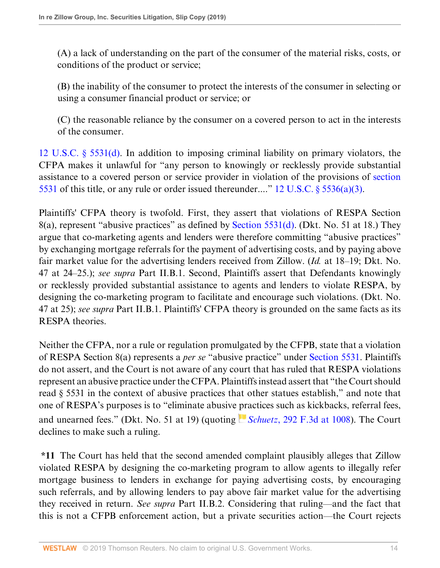(A) a lack of understanding on the part of the consumer of the material risks, costs, or conditions of the product or service;

(B) the inability of the consumer to protect the interests of the consumer in selecting or using a consumer financial product or service; or

(C) the reasonable reliance by the consumer on a covered person to act in the interests of the consumer.

[12 U.S.C. § 5531\(d\).](http://www.westlaw.com/Link/Document/FullText?findType=L&pubNum=1000546&cite=12USCAS5531&originatingDoc=Ia2b1702064d511e9a6438b9dc1ba0379&refType=RB&originationContext=document&vr=3.0&rs=cblt1.0&transitionType=DocumentItem&contextData=(sc.Default)#co_pp_5ba1000067d06) In addition to imposing criminal liability on primary violators, the CFPA makes it unlawful for "any person to knowingly or recklessly provide substantial assistance to a covered person or service provider in violation of the provisions of [section](http://www.westlaw.com/Link/Document/FullText?findType=L&pubNum=1000546&cite=12USCAS5531&originatingDoc=Ia2b1702064d511e9a6438b9dc1ba0379&refType=LQ&originationContext=document&vr=3.0&rs=cblt1.0&transitionType=DocumentItem&contextData=(sc.Default)) [5531](http://www.westlaw.com/Link/Document/FullText?findType=L&pubNum=1000546&cite=12USCAS5531&originatingDoc=Ia2b1702064d511e9a6438b9dc1ba0379&refType=LQ&originationContext=document&vr=3.0&rs=cblt1.0&transitionType=DocumentItem&contextData=(sc.Default)) of this title, or any rule or order issued thereunder...." 12 U.S.C.  $\S$  5536(a)(3).

Plaintiffs' CFPA theory is twofold. First, they assert that violations of RESPA Section 8(a), represent "abusive practices" as defined by [Section 5531\(d\)](http://www.westlaw.com/Link/Document/FullText?findType=L&pubNum=1000546&cite=12USCAS5531&originatingDoc=Ia2b1702064d511e9a6438b9dc1ba0379&refType=RB&originationContext=document&vr=3.0&rs=cblt1.0&transitionType=DocumentItem&contextData=(sc.Default)#co_pp_5ba1000067d06). (Dkt. No. 51 at 18.) They argue that co-marketing agents and lenders were therefore committing "abusive practices" by exchanging mortgage referrals for the payment of advertising costs, and by paying above fair market value for the advertising lenders received from Zillow. (*Id.* at 18–19; Dkt. No. 47 at 24–25.); *see supra* Part II.B.1. Second, Plaintiffs assert that Defendants knowingly or recklessly provided substantial assistance to agents and lenders to violate RESPA, by designing the co-marketing program to facilitate and encourage such violations. (Dkt. No. 47 at 25); *see supra* Part II.B.1. Plaintiffs' CFPA theory is grounded on the same facts as its RESPA theories.

Neither the CFPA, nor a rule or regulation promulgated by the CFPB, state that a violation of RESPA Section 8(a) represents a *per se* "abusive practice" under [Section 5531.](http://www.westlaw.com/Link/Document/FullText?findType=L&pubNum=1000546&cite=12USCAS5531&originatingDoc=Ia2b1702064d511e9a6438b9dc1ba0379&refType=LQ&originationContext=document&vr=3.0&rs=cblt1.0&transitionType=DocumentItem&contextData=(sc.Default)) Plaintiffs do not assert, and the Court is not aware of any court that has ruled that RESPA violations represent an abusive practice under the CFPA. Plaintiffs instead assert that "the Court should read § 5531 in the context of abusive practices that other statues establish," and note that one of RESPA's purposes is to "eliminate abusive [pra](https://1.next.westlaw.com/Link/RelatedInformation/Flag?documentGuid=Ibd2cd8b379d811d98c82a53fc8ac8757&transitionType=InlineKeyCiteFlags&originationContext=docHeaderFlag&contextData=(sc.Default) )ctices such as kickbacks, referral fees, and unearned fees." (Dkt. No. 51 at 19) (quoting *Schuetz*[, 292 F.3d at 1008\)](http://www.westlaw.com/Link/Document/FullText?findType=Y&serNum=2002357918&pubNum=0000506&originatingDoc=Ia2b1702064d511e9a6438b9dc1ba0379&refType=RP&fi=co_pp_sp_506_1008&originationContext=document&vr=3.0&rs=cblt1.0&transitionType=DocumentItem&contextData=(sc.Default)#co_pp_sp_506_1008). The Court declines to make such a ruling.

**\*11** The Court has held that the second amended complaint plausibly alleges that Zillow violated RESPA by designing the co-marketing program to allow agents to illegally refer mortgage business to lenders in exchange for paying advertising costs, by encouraging such referrals, and by allowing lenders to pay above fair market value for the advertising they received in return. *See supra* Part II.B.2. Considering that ruling—and the fact that this is not a CFPB enforcement action, but a private securities action—the Court rejects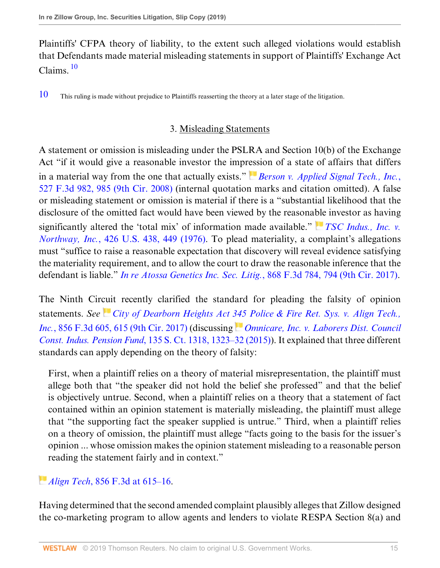<span id="page-14-1"></span>Plaintiffs' CFPA theory of liability, to the extent such alleged violations would establish that Defendants made material misleading statements in support of Plaintiffs' Exchange Act Claims. [10](#page-14-0)

<span id="page-14-0"></span>[10](#page-14-1) This ruling is made without prejudice to Plaintiffs reasserting the theory at a later stage of the litigation.

## 3. Misleading Statements

A statement or omission is misleading under the PSLRA and Section 10(b) of the Exchange Act "if it would give a reasonable investor the impr[ess](https://1.next.westlaw.com/Link/RelatedInformation/Flag?documentGuid=I3a84e3d5330a11ddb7e483ba170699a5&transitionType=InlineKeyCiteFlags&originationContext=docHeaderFlag&contextData=(sc.Default) )ion of a state of affairs that differs in a material way from the one that actually exists." *[Berson v. Applied Signal Tech., Inc.](http://www.westlaw.com/Link/Document/FullText?findType=Y&serNum=2016243989&pubNum=0000506&originatingDoc=Ia2b1702064d511e9a6438b9dc1ba0379&refType=RP&fi=co_pp_sp_506_985&originationContext=document&vr=3.0&rs=cblt1.0&transitionType=DocumentItem&contextData=(sc.Default)#co_pp_sp_506_985)*, [527 F.3d 982, 985 \(9th Cir. 2008\)](http://www.westlaw.com/Link/Document/FullText?findType=Y&serNum=2016243989&pubNum=0000506&originatingDoc=Ia2b1702064d511e9a6438b9dc1ba0379&refType=RP&fi=co_pp_sp_506_985&originationContext=document&vr=3.0&rs=cblt1.0&transitionType=DocumentItem&contextData=(sc.Default)#co_pp_sp_506_985) (internal quotation marks and citation omitted). A false or misleading statement or omission is material if there is a "substantial likelihood that the disclosure of the omitted fact would have been viewed by the reasona[ble](https://1.next.westlaw.com/Link/RelatedInformation/Flag?documentGuid=I6506328a9c9711d9bc61beebb95be672&transitionType=InlineKeyCiteFlags&originationContext=docHeaderFlag&contextData=(sc.Default) ) investor as having significantly altered the 'total mix' of information made available." *[TSC Indus., Inc. v.](http://www.westlaw.com/Link/Document/FullText?findType=Y&serNum=1976142400&pubNum=0000780&originatingDoc=Ia2b1702064d511e9a6438b9dc1ba0379&refType=RP&fi=co_pp_sp_780_449&originationContext=document&vr=3.0&rs=cblt1.0&transitionType=DocumentItem&contextData=(sc.Default)#co_pp_sp_780_449) Northway, Inc.*[, 426 U.S. 438, 449 \(1976\)](http://www.westlaw.com/Link/Document/FullText?findType=Y&serNum=1976142400&pubNum=0000780&originatingDoc=Ia2b1702064d511e9a6438b9dc1ba0379&refType=RP&fi=co_pp_sp_780_449&originationContext=document&vr=3.0&rs=cblt1.0&transitionType=DocumentItem&contextData=(sc.Default)#co_pp_sp_780_449). To plead materiality, a complaint's allegations must "suffice to raise a reasonable expectation that discovery will reveal evidence satisfying the materiality requirement, and to allow the court to draw the reasonable inference that the defendant is liable." *[In re Atossa Genetics Inc. Sec. Litig.](http://www.westlaw.com/Link/Document/FullText?findType=Y&serNum=2042376963&pubNum=0000506&originatingDoc=Ia2b1702064d511e9a6438b9dc1ba0379&refType=RP&fi=co_pp_sp_506_794&originationContext=document&vr=3.0&rs=cblt1.0&transitionType=DocumentItem&contextData=(sc.Default)#co_pp_sp_506_794)*, 868 F.3d 784, 794 (9th Cir. 2017).

The Ninth Cir[cui](https://1.next.westlaw.com/Link/RelatedInformation/Flag?documentGuid=Ia69a433031c711e7afe7804507f6db3f&transitionType=InlineKeyCiteFlags&originationContext=docHeaderFlag&contextData=(sc.Default) )t recently clarified the standard for pleading the falsity of opinion statements. *See [City of Dearborn Heights Act 345 Police & Fire Ret. Sys. v. Align Tech.,](http://www.westlaw.com/Link/Document/FullText?findType=Y&serNum=2041587175&pubNum=0000506&originatingDoc=Ia2b1702064d511e9a6438b9dc1ba0379&refType=RP&fi=co_pp_sp_506_615&originationContext=document&vr=3.0&rs=cblt1.0&transitionType=DocumentItem&contextData=(sc.Default)#co_pp_sp_506_615) Inc.*[, 856 F.3d 605, 615 \(9th Cir. 2017\)](http://www.westlaw.com/Link/Document/FullText?findType=Y&serNum=2041587175&pubNum=0000506&originatingDoc=Ia2b1702064d511e9a6438b9dc1ba0379&refType=RP&fi=co_pp_sp_506_615&originationContext=document&vr=3.0&rs=cblt1.0&transitionType=DocumentItem&contextData=(sc.Default)#co_pp_sp_506_615) (discussing *[Omnicare, Inc. v. Laborers Dist. Council](http://www.westlaw.com/Link/Document/FullText?findType=Y&serNum=2035661902&pubNum=0000708&originatingDoc=Ia2b1702064d511e9a6438b9dc1ba0379&refType=RP&fi=co_pp_sp_708_1323&originationContext=document&vr=3.0&rs=cblt1.0&transitionType=DocumentItem&contextData=(sc.Default)#co_pp_sp_708_1323) Const. Indus. Pension Fund*[, 135 S. Ct. 1318, 1323–32 \(2015\)\)](http://www.westlaw.com/Link/Document/FullText?findType=Y&serNum=2035661902&pubNum=0000708&originatingDoc=Ia2b1702064d511e9a6438b9dc1ba0379&refType=RP&fi=co_pp_sp_708_1323&originationContext=document&vr=3.0&rs=cblt1.0&transitionType=DocumentItem&contextData=(sc.Default)#co_pp_sp_708_1323). It explained that three different standards can apply depending on the theory of falsity:

First, when a plaintiff relies on a theory of material misrepresentation, the plaintiff must allege both that "the speaker did not hold the belief she professed" and that the belief is objectively untrue. Second, when a plaintiff relies on a theory that a statement of fact contained within an opinion statement is materially misleading, the plaintiff must allege that "the supporting fact the speaker supplied is untrue." Third, when a plaintiff relies on a theory of omission, the plaintiff must allege "facts going to the basis for the issuer's opinion ... whose omission makes the opinion statement misleading to a reasonable person reading the statement fairly and in context."

# *[A](https://1.next.westlaw.com/Link/RelatedInformation/Flag?documentGuid=Ia69a433031c711e7afe7804507f6db3f&transitionType=InlineKeyCiteFlags&originationContext=docHeaderFlag&contextData=(sc.Default) )lign Tech*[, 856 F.3d at 615–16.](http://www.westlaw.com/Link/Document/FullText?findType=Y&serNum=2041587175&pubNum=0000506&originatingDoc=Ia2b1702064d511e9a6438b9dc1ba0379&refType=RP&fi=co_pp_sp_506_615&originationContext=document&vr=3.0&rs=cblt1.0&transitionType=DocumentItem&contextData=(sc.Default)#co_pp_sp_506_615)

Having determined that the second amended complaint plausibly alleges that Zillow designed the co-marketing program to allow agents and lenders to violate RESPA Section 8(a) and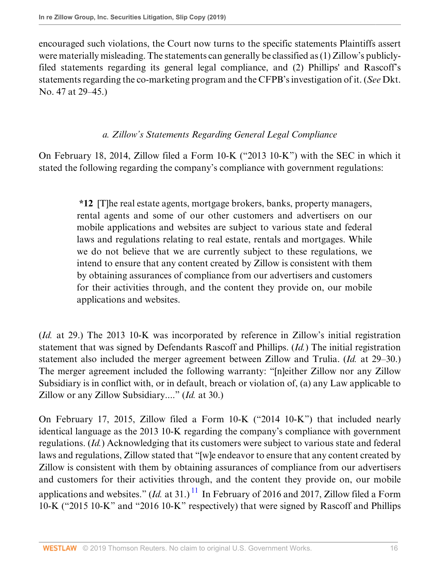encouraged such violations, the Court now turns to the specific statements Plaintiffs assert were materially misleading. The statements can generally be classified as (1) Zillow's publiclyfiled statements regarding its general legal compliance, and (2) Phillips' and Rascoff's statements regarding the co-marketing program and the CFPB's investigation of it. (*See* Dkt. No. 47 at 29–45.)

# *a. Zillow's Statements Regarding General Legal Compliance*

On February 18, 2014, Zillow filed a Form 10-K ("2013 10-K") with the SEC in which it stated the following regarding the company's compliance with government regulations:

> **\*12** [T]he real estate agents, mortgage brokers, banks, property managers, rental agents and some of our other customers and advertisers on our mobile applications and websites are subject to various state and federal laws and regulations relating to real estate, rentals and mortgages. While we do not believe that we are currently subject to these regulations, we intend to ensure that any content created by Zillow is consistent with them by obtaining assurances of compliance from our advertisers and customers for their activities through, and the content they provide on, our mobile applications and websites.

(*Id.* at 29.) The 2013 10-K was incorporated by reference in Zillow's initial registration statement that was signed by Defendants Rascoff and Phillips. (*Id.*) The initial registration statement also included the merger agreement between Zillow and Trulia. (*Id.* at 29–30.) The merger agreement included the following warranty: "[n]either Zillow nor any Zillow Subsidiary is in conflict with, or in default, breach or violation of, (a) any Law applicable to Zillow or any Zillow Subsidiary...." (*Id.* at 30.)

<span id="page-15-0"></span>On February 17, 2015, Zillow filed a Form 10-K ("2014 10-K") that included nearly identical language as the 2013 10-K regarding the company's compliance with government regulations. (*Id.*) Acknowledging that its customers were subject to various state and federal laws and regulations, Zillow stated that "[w]e endeavor to ensure that any content created by Zillow is consistent with them by obtaining assurances of compliance from our advertisers and customers for their activities through, and the content they provide on, our mobile applications and websites."  $(Id.$  at 31.)<sup>[11](#page-16-0)</sup> In February of 2016 and 2017, Zillow filed a Form 10-K ("2015 10-K" and "2016 10-K" respectively) that were signed by Rascoff and Phillips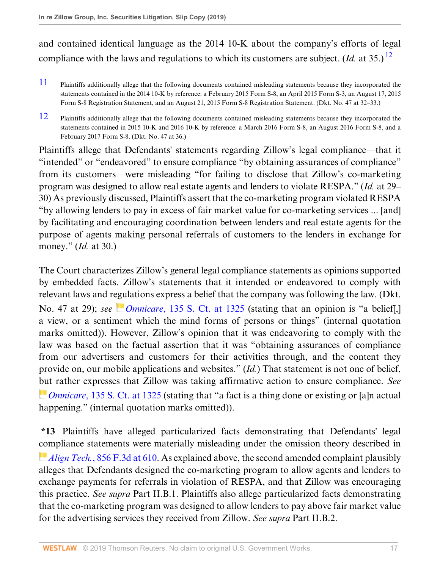and contained identical language as the 2014 10-K about the company's efforts of legal compliance with the laws and regulations to which its customers are subject. (*Id.* at 35.) <sup>[12](#page-16-1)</sup>

- <span id="page-16-2"></span><span id="page-16-0"></span>[11](#page-15-0) Plaintiffs additionally allege that the following documents contained misleading statements because they incorporated the statements contained in the 2014 10-K by reference: a February 2015 Form S-8, an April 2015 Form S-3, an August 17, 2015 Form S-8 Registration Statement, and an August 21, 2015 Form S-8 Registration Statement. (Dkt. No. 47 at 32–33.)
- <span id="page-16-1"></span>[12](#page-16-2) Plaintiffs additionally allege that the following documents contained misleading statements because they incorporated the statements contained in 2015 10-K and 2016 10-K by reference: a March 2016 Form S-8, an August 2016 Form S-8, and a February 2017 Form S-8. (Dkt. No. 47 at 36.)

Plaintiffs allege that Defendants' statements regarding Zillow's legal compliance—that it "intended" or "endeavored" to ensure compliance "by obtaining assurances of compliance" from its customers—were misleading "for failing to disclose that Zillow's co-marketing program was designed to allow real estate agents and lenders to violate RESPA." (*Id.* at 29– 30) As previously discussed, Plaintiffs assert that the co-marketing program violated RESPA "by allowing lenders to pay in excess of fair market value for co-marketing services ... [and] by facilitating and encouraging coordination between lenders and real estate agents for the purpose of agents making personal referrals of customers to the lenders in exchange for money." (*Id.* at 30.)

The Court characterizes Zillow's general legal compliance statements as opinions supported by embedded facts. Zillow's statements that it intended or endeavored to comply with relevant laws and r[egu](https://1.next.westlaw.com/Link/RelatedInformation/Flag?documentGuid=Ibe9e5804d1f811e4a807ad48145ed9f1&transitionType=InlineKeyCiteFlags&originationContext=docHeaderFlag&contextData=(sc.Default) )lations express a belief that the company was following the law. (Dkt. No. 47 at 29); *see Omnicare*[, 135 S. Ct. at 1325](http://www.westlaw.com/Link/Document/FullText?findType=Y&serNum=2035661902&pubNum=0000708&originatingDoc=Ia2b1702064d511e9a6438b9dc1ba0379&refType=RP&fi=co_pp_sp_708_1325&originationContext=document&vr=3.0&rs=cblt1.0&transitionType=DocumentItem&contextData=(sc.Default)#co_pp_sp_708_1325) (stating that an opinion is "a belief[,] a view, or a sentiment which the mind forms of persons or things" (internal quotation marks omitted)). However, Zillow's opinion that it was endeavoring to comply with the law was based on the factual assertion that it was "obtaining assurances of compliance from our advertisers and customers for their activities through, and the content they provide on, our mobile applications and websites." (*Id.*) That statement is not one of belief, [bu](https://1.next.westlaw.com/Link/RelatedInformation/Flag?documentGuid=Ibe9e5804d1f811e4a807ad48145ed9f1&transitionType=InlineKeyCiteFlags&originationContext=docHeaderFlag&contextData=(sc.Default) )t rather expresses that Zillow was taking affirmative action to ensure compliance. *See Omnicare*[, 135 S. Ct. at 1325](http://www.westlaw.com/Link/Document/FullText?findType=Y&serNum=2035661902&pubNum=0000708&originatingDoc=Ia2b1702064d511e9a6438b9dc1ba0379&refType=RP&fi=co_pp_sp_708_1325&originationContext=document&vr=3.0&rs=cblt1.0&transitionType=DocumentItem&contextData=(sc.Default)#co_pp_sp_708_1325) (stating that "a fact is a thing done or existing or [a]n actual happening." (internal quotation marks omitted)).

**\*13** Plaintiffs have alleged particularized facts demonstrating that Defendants' legal [com](https://1.next.westlaw.com/Link/RelatedInformation/Flag?documentGuid=Ia69a433031c711e7afe7804507f6db3f&transitionType=InlineKeyCiteFlags&originationContext=docHeaderFlag&contextData=(sc.Default) )pliance statements were materially misleading under the omission theory described in *Align Tech.*[, 856 F.3d at 610](http://www.westlaw.com/Link/Document/FullText?findType=Y&serNum=2041587175&pubNum=0000506&originatingDoc=Ia2b1702064d511e9a6438b9dc1ba0379&refType=RP&fi=co_pp_sp_506_610&originationContext=document&vr=3.0&rs=cblt1.0&transitionType=DocumentItem&contextData=(sc.Default)#co_pp_sp_506_610). As explained above, the second amended complaint plausibly alleges that Defendants designed the co-marketing program to allow agents and lenders to exchange payments for referrals in violation of RESPA, and that Zillow was encouraging this practice. *See supra* Part II.B.1. Plaintiffs also allege particularized facts demonstrating that the co-marketing program was designed to allow lenders to pay above fair market value for the advertising services they received from Zillow. *See supra* Part II.B.2.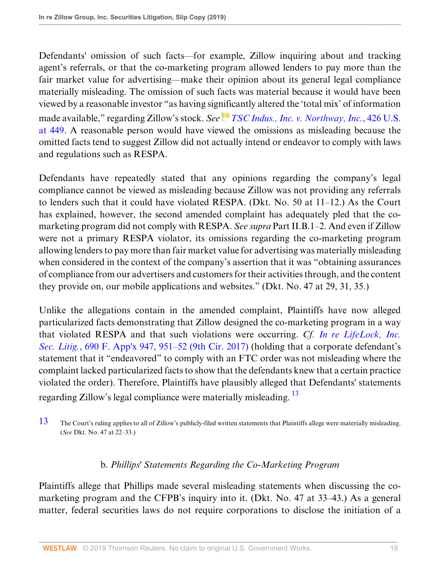Defendants' omission of such facts—for example, Zillow inquiring about and tracking agent's referrals, or that the co-marketing program allowed lenders to pay more than the fair market value for advertising—make their opinion about its general legal compliance materially misleading. The omission of such facts was material because it would have been viewed by a reasonable investor "as having sig[nifi](https://1.next.westlaw.com/Link/RelatedInformation/Flag?documentGuid=I6506328a9c9711d9bc61beebb95be672&transitionType=InlineKeyCiteFlags&originationContext=docHeaderFlag&contextData=(sc.Default) )cantly altered the 'total mix' of information made available," regarding Zillow's stock. *See [TSC Indus., Inc. v. Northway, Inc.](http://www.westlaw.com/Link/Document/FullText?findType=Y&serNum=1976142400&pubNum=0000780&originatingDoc=Ia2b1702064d511e9a6438b9dc1ba0379&refType=RP&fi=co_pp_sp_780_449&originationContext=document&vr=3.0&rs=cblt1.0&transitionType=DocumentItem&contextData=(sc.Default)#co_pp_sp_780_449)*, 426 U.S. [at 449](http://www.westlaw.com/Link/Document/FullText?findType=Y&serNum=1976142400&pubNum=0000780&originatingDoc=Ia2b1702064d511e9a6438b9dc1ba0379&refType=RP&fi=co_pp_sp_780_449&originationContext=document&vr=3.0&rs=cblt1.0&transitionType=DocumentItem&contextData=(sc.Default)#co_pp_sp_780_449). A reasonable person would have viewed the omissions as misleading because the omitted facts tend to suggest Zillow did not actually intend or endeavor to comply with laws and regulations such as RESPA.

Defendants have repeatedly stated that any opinions regarding the company's legal compliance cannot be viewed as misleading because Zillow was not providing any referrals to lenders such that it could have violated RESPA. (Dkt. No. 50 at 11–12.) As the Court has explained, however, the second amended complaint has adequately pled that the comarketing program did not comply with RESPA. *See supra* Part II.B.1–2. And even if Zillow were not a primary RESPA violator, its omissions regarding the co-marketing program allowing lenders to pay more than fair market value for advertising was materially misleading when considered in the context of the company's assertion that it was "obtaining assurances of compliance from our advertisers and customers for their activities through, and the content they provide on, our mobile applications and websites." (Dkt. No. 47 at 29, 31, 35.)

Unlike the allegations contain in the amended complaint, Plaintiffs have now alleged particularized facts demonstrating that Zillow designed the co-marketing program in a way that violated RESPA and that such violations were occurring. *Cf. [In re LifeLock, Inc.](http://www.westlaw.com/Link/Document/FullText?findType=Y&serNum=2041635750&pubNum=0006538&originatingDoc=Ia2b1702064d511e9a6438b9dc1ba0379&refType=RP&fi=co_pp_sp_6538_951&originationContext=document&vr=3.0&rs=cblt1.0&transitionType=DocumentItem&contextData=(sc.Default)#co_pp_sp_6538_951) Sec. Litig.*[, 690 F. App'x 947, 951–52 \(9th Cir. 2017\)](http://www.westlaw.com/Link/Document/FullText?findType=Y&serNum=2041635750&pubNum=0006538&originatingDoc=Ia2b1702064d511e9a6438b9dc1ba0379&refType=RP&fi=co_pp_sp_6538_951&originationContext=document&vr=3.0&rs=cblt1.0&transitionType=DocumentItem&contextData=(sc.Default)#co_pp_sp_6538_951) (holding that a corporate defendant's statement that it "endeavored" to comply with an FTC order was not misleading where the complaint lacked particularized facts to show that the defendants knew that a certain practice violated the order). Therefore, Plaintiffs have plausibly alleged that Defendants' statements regarding Zillow's legal compliance were materially misleading.<sup>[13](#page-17-0)</sup>

<span id="page-17-0"></span>[13](#page-17-1) The Court's ruling applies to all of Zillow's publicly-filed written statements that Plaintiffs allege were materially misleading. (*See* Dkt. No. 47 at 22–33.)

# <span id="page-17-1"></span>b. *Phillips' Statements Regarding the Co-Marketing Program*

Plaintiffs allege that Phillips made several misleading statements when discussing the comarketing program and the CFPB's inquiry into it. (Dkt. No. 47 at 33–43.) As a general matter, federal securities laws do not require corporations to disclose the initiation of a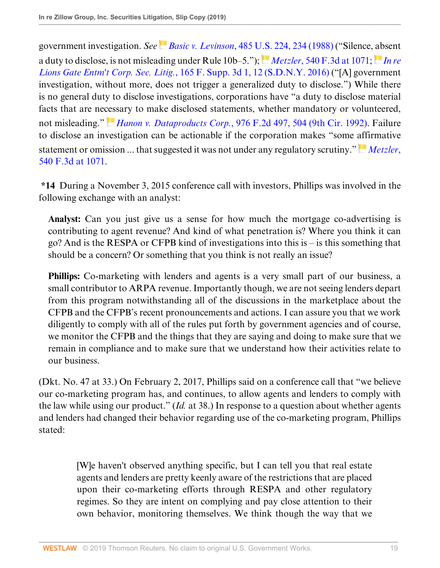government investigation. *See Basic v. Levinson*[, 485 U.S. 224, 234 \(1988\)](http://www.westlaw.com/Link/Document/FullText?findType=Y&serNum=1988031229&pubNum=0000780&originatingDoc=Ia2b1702064d511e9a6438b9dc1ba0379&refType=RP&fi=co_pp_sp_780_234&originationContext=document&vr=3.0&rs=cblt1.0&transitionType=DocumentItem&contextData=(sc.Default)#co_pp_sp_780_234) ("Silence, [ab](https://1.next.westlaw.com/Link/RelatedInformation/Flag?documentGuid=I740e6220c42211e593d3f989482fc037&transitionType=InlineKeyCiteFlags&originationContext=docHeaderFlag&contextData=(sc.Default) )sent a duty to disclose, is not misleading under Rule 10b–5."); *Metzler*[, 540 F.3d at 1071;](http://www.westlaw.com/Link/Document/FullText?findType=Y&serNum=2016838098&pubNum=0000506&originatingDoc=Ia2b1702064d511e9a6438b9dc1ba0379&refType=RP&fi=co_pp_sp_506_1071&originationContext=document&vr=3.0&rs=cblt1.0&transitionType=DocumentItem&contextData=(sc.Default)#co_pp_sp_506_1071) *[In re](http://www.westlaw.com/Link/Document/FullText?findType=Y&serNum=2038155091&pubNum=0007903&originatingDoc=Ia2b1702064d511e9a6438b9dc1ba0379&refType=RP&fi=co_pp_sp_7903_12&originationContext=document&vr=3.0&rs=cblt1.0&transitionType=DocumentItem&contextData=(sc.Default)#co_pp_sp_7903_12) Lions Gate Entm't Corp. Sec. Litig.*[, 165 F. Supp. 3d 1, 12 \(S.D.N.Y. 2016\)](http://www.westlaw.com/Link/Document/FullText?findType=Y&serNum=2038155091&pubNum=0007903&originatingDoc=Ia2b1702064d511e9a6438b9dc1ba0379&refType=RP&fi=co_pp_sp_7903_12&originationContext=document&vr=3.0&rs=cblt1.0&transitionType=DocumentItem&contextData=(sc.Default)#co_pp_sp_7903_12) ("[A] government investigation, without more, does not trigger a generalized duty to disclose.") While there is no general duty to disclose investigations, corporations have "a duty to disclose material facts that are ne[cess](https://1.next.westlaw.com/Link/RelatedInformation/Flag?documentGuid=Icadd2e4594d811d9bc61beebb95be672&transitionType=InlineKeyCiteFlags&originationContext=docHeaderFlag&contextData=(sc.Default) )ary to make disclosed statements, whether mandatory or volunteered, not misleading." *Hanon v. Dataproducts Corp.*[, 976 F.2d 497, 504 \(9th Cir. 1992\)](http://www.westlaw.com/Link/Document/FullText?findType=Y&serNum=1992168922&pubNum=0000350&originatingDoc=Ia2b1702064d511e9a6438b9dc1ba0379&refType=RP&fi=co_pp_sp_350_504&originationContext=document&vr=3.0&rs=cblt1.0&transitionType=DocumentItem&contextData=(sc.Default)#co_pp_sp_350_504). Failure to disclose an investigation can be actionable if the corporation makes "some [aff](https://1.next.westlaw.com/Link/RelatedInformation/Flag?documentGuid=I7bfd96fd738e11ddb6a3a099756c05b7&transitionType=InlineKeyCiteFlags&originationContext=docHeaderFlag&contextData=(sc.Default) )irmative statement or omission ... that suggested it was not under any regulatory scrutiny." *[Metzler](http://www.westlaw.com/Link/Document/FullText?findType=Y&serNum=2016838098&pubNum=0000506&originatingDoc=Ia2b1702064d511e9a6438b9dc1ba0379&refType=RP&fi=co_pp_sp_506_1071&originationContext=document&vr=3.0&rs=cblt1.0&transitionType=DocumentItem&contextData=(sc.Default)#co_pp_sp_506_1071)*, [540 F.3d at 1071.](http://www.westlaw.com/Link/Document/FullText?findType=Y&serNum=2016838098&pubNum=0000506&originatingDoc=Ia2b1702064d511e9a6438b9dc1ba0379&refType=RP&fi=co_pp_sp_506_1071&originationContext=document&vr=3.0&rs=cblt1.0&transitionType=DocumentItem&contextData=(sc.Default)#co_pp_sp_506_1071)

**\*14** During a November 3, 2015 conference call with investors, Phillips was involved in the following exchange with an analyst:

**Analyst:** Can you just give us a sense for how much the mortgage co-advertising is contributing to agent revenue? And kind of what penetration is? Where you think it can go? And is the RESPA or CFPB kind of investigations into this is – is this something that should be a concern? Or something that you think is not really an issue?

**Phillips:** Co-marketing with lenders and agents is a very small part of our business, a small contributor to ARPA revenue. Importantly though, we are not seeing lenders depart from this program notwithstanding all of the discussions in the marketplace about the CFPB and the CFPB's recent pronouncements and actions. I can assure you that we work diligently to comply with all of the rules put forth by government agencies and of course, we monitor the CFPB and the things that they are saying and doing to make sure that we remain in compliance and to make sure that we understand how their activities relate to our business.

(Dkt. No. 47 at 33.) On February 2, 2017, Phillips said on a conference call that "we believe our co-marketing program has, and continues, to allow agents and lenders to comply with the law while using our product." (*Id.* at 38.) In response to a question about whether agents and lenders had changed their behavior regarding use of the co-marketing program, Phillips stated:

> [W]e haven't observed anything specific, but I can tell you that real estate agents and lenders are pretty keenly aware of the restrictions that are placed upon their co-marketing efforts through RESPA and other regulatory regimes. So they are intent on complying and pay close attention to their own behavior, monitoring themselves. We think though the way that we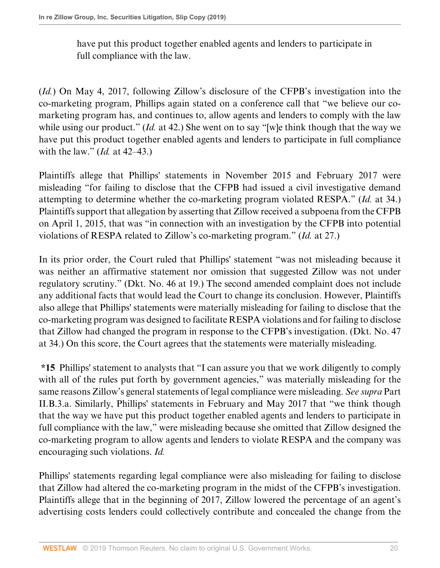have put this product together enabled agents and lenders to participate in full compliance with the law.

(*Id.*) On May 4, 2017, following Zillow's disclosure of the CFPB's investigation into the co-marketing program, Phillips again stated on a conference call that "we believe our comarketing program has, and continues to, allow agents and lenders to comply with the law while using our product." *(Id.* at 42.) She went on to say "[w]e think though that the way we have put this product together enabled agents and lenders to participate in full compliance with the law." (*Id.* at 42–43.)

Plaintiffs allege that Phillips' statements in November 2015 and February 2017 were misleading "for failing to disclose that the CFPB had issued a civil investigative demand attempting to determine whether the co-marketing program violated RESPA." (*Id.* at 34.) Plaintiffs support that allegation by asserting that Zillow received a subpoena from the CFPB on April 1, 2015, that was "in connection with an investigation by the CFPB into potential violations of RESPA related to Zillow's co-marketing program." (*Id.* at 27.)

In its prior order, the Court ruled that Phillips' statement "was not misleading because it was neither an affirmative statement nor omission that suggested Zillow was not under regulatory scrutiny." (Dkt. No. 46 at 19.) The second amended complaint does not include any additional facts that would lead the Court to change its conclusion. However, Plaintiffs also allege that Phillips' statements were materially misleading for failing to disclose that the co-marketing program was designed to facilitate RESPA violations and for failing to disclose that Zillow had changed the program in response to the CFPB's investigation. (Dkt. No. 47 at 34.) On this score, the Court agrees that the statements were materially misleading.

**\*15** Phillips' statement to analysts that "I can assure you that we work diligently to comply with all of the rules put forth by government agencies," was materially misleading for the same reasons Zillow's general statements of legal compliance were misleading. *See supra* Part II.B.3.a. Similarly, Phillips' statements in February and May 2017 that "we think though that the way we have put this product together enabled agents and lenders to participate in full compliance with the law," were misleading because she omitted that Zillow designed the co-marketing program to allow agents and lenders to violate RESPA and the company was encouraging such violations. *Id.*

Phillips' statements regarding legal compliance were also misleading for failing to disclose that Zillow had altered the co-marketing program in the midst of the CFPB's investigation. Plaintiffs allege that in the beginning of 2017, Zillow lowered the percentage of an agent's advertising costs lenders could collectively contribute and concealed the change from the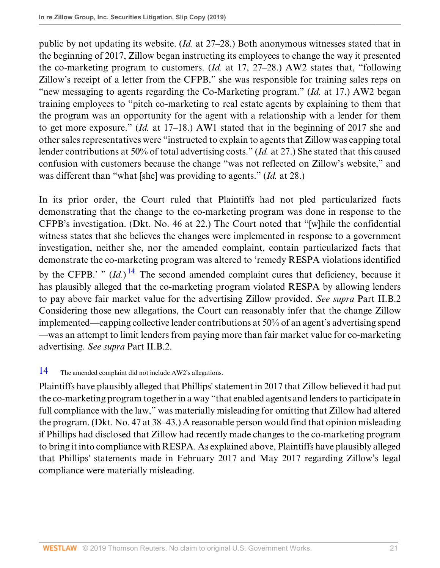public by not updating its website. (*Id.* at 27–28.) Both anonymous witnesses stated that in the beginning of 2017, Zillow began instructing its employees to change the way it presented the co-marketing program to customers. (*Id.* at 17, 27–28.) AW2 states that, "following Zillow's receipt of a letter from the CFPB," she was responsible for training sales reps on "new messaging to agents regarding the Co-Marketing program." (*Id.* at 17.) AW2 began training employees to "pitch co-marketing to real estate agents by explaining to them that the program was an opportunity for the agent with a relationship with a lender for them to get more exposure." (*Id.* at 17–18.) AW1 stated that in the beginning of 2017 she and other sales representatives were "instructed to explain to agents that Zillow was capping total lender contributions at 50% of total advertising costs." (*Id.* at 27.) She stated that this caused confusion with customers because the change "was not reflected on Zillow's website," and was different than "what [she] was providing to agents." (*Id.* at 28.)

<span id="page-20-1"></span>In its prior order, the Court ruled that Plaintiffs had not pled particularized facts demonstrating that the change to the co-marketing program was done in response to the CFPB's investigation. (Dkt. No. 46 at 22.) The Court noted that "[w]hile the confidential witness states that she believes the changes were implemented in response to a government investigation, neither she, nor the amended complaint, contain particularized facts that demonstrate the co-marketing program was altered to 'remedy RESPA violations identified by the CFPB.' "  $(Id.)$ <sup>[14](#page-20-0)</sup> The second amended complaint cures that deficiency, because it has plausibly alleged that the co-marketing program violated RESPA by allowing lenders to pay above fair market value for the advertising Zillow provided. *See supra* Part II.B.2 Considering those new allegations, the Court can reasonably infer that the change Zillow implemented—capping collective lender contributions at 50% of an agent's advertising spend —was an attempt to limit lenders from paying more than fair market value for co-marketing advertising. *See supra* Part II.B.2.

# <span id="page-20-0"></span>[14](#page-20-1) The amended complaint did not include AW2's allegations.

Plaintiffs have plausibly alleged that Phillips' statement in 2017 that Zillow believed it had put the co-marketing program together in a way "that enabled agents and lenders to participate in full compliance with the law," was materially misleading for omitting that Zillow had altered the program. (Dkt. No. 47 at 38–43.) A reasonable person would find that opinion misleading if Phillips had disclosed that Zillow had recently made changes to the co-marketing program to bring it into compliance with RESPA. As explained above, Plaintiffs have plausibly alleged that Phillips' statements made in February 2017 and May 2017 regarding Zillow's legal compliance were materially misleading.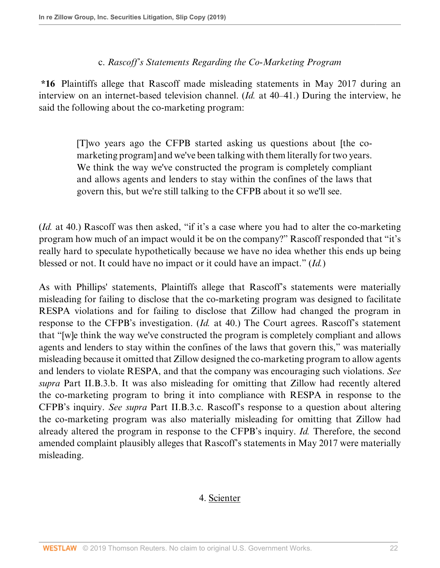### c. *Rascoff's Statements Regarding the Co-Marketing Program*

**\*16** Plaintiffs allege that Rascoff made misleading statements in May 2017 during an interview on an internet-based television channel. (*Id.* at 40–41.) During the interview, he said the following about the co-marketing program:

> [T]wo years ago the CFPB started asking us questions about [the comarketing program] and we've been talking with them literally for two years. We think the way we've constructed the program is completely compliant and allows agents and lenders to stay within the confines of the laws that govern this, but we're still talking to the CFPB about it so we'll see.

(*Id.* at 40.) Rascoff was then asked, "if it's a case where you had to alter the co-marketing program how much of an impact would it be on the company?" Rascoff responded that "it's really hard to speculate hypothetically because we have no idea whether this ends up being blessed or not. It could have no impact or it could have an impact." (*Id.*)

As with Phillips' statements, Plaintiffs allege that Rascoff's statements were materially misleading for failing to disclose that the co-marketing program was designed to facilitate RESPA violations and for failing to disclose that Zillow had changed the program in response to the CFPB's investigation. (*Id.* at 40.) The Court agrees. Rascoff's statement that "[w]e think the way we've constructed the program is completely compliant and allows agents and lenders to stay within the confines of the laws that govern this," was materially misleading because it omitted that Zillow designed the co-marketing program to allow agents and lenders to violate RESPA, and that the company was encouraging such violations. *See supra* Part II.B.3.b. It was also misleading for omitting that Zillow had recently altered the co-marketing program to bring it into compliance with RESPA in response to the CFPB's inquiry. *See supra* Part II.B.3.c. Rascoff's response to a question about altering the co-marketing program was also materially misleading for omitting that Zillow had already altered the program in response to the CFPB's inquiry. *Id.* Therefore, the second amended complaint plausibly alleges that Rascoff's statements in May 2017 were materially misleading.

### 4. Scienter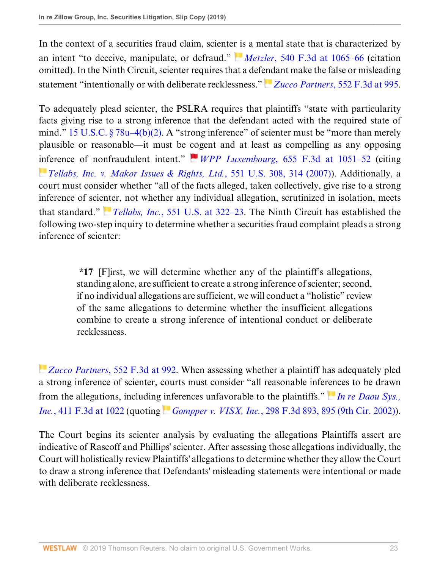In the context of a securities fraud claim, sciente[r is](https://1.next.westlaw.com/Link/RelatedInformation/Flag?documentGuid=I7bfd96fd738e11ddb6a3a099756c05b7&transitionType=InlineKeyCiteFlags&originationContext=docHeaderFlag&contextData=(sc.Default) ) a mental state that is characterized by an intent "to deceive, manipulate, or defraud." *Metzler*[, 540 F.3d at 1065–66](http://www.westlaw.com/Link/Document/FullText?findType=Y&serNum=2016838098&pubNum=0000506&originatingDoc=Ia2b1702064d511e9a6438b9dc1ba0379&refType=RP&fi=co_pp_sp_506_1065&originationContext=document&vr=3.0&rs=cblt1.0&transitionType=DocumentItem&contextData=(sc.Default)#co_pp_sp_506_1065) (citation omitted). In the Ninth Circuit, scienter requires that a def[end](https://1.next.westlaw.com/Link/RelatedInformation/Flag?documentGuid=Iea6d1660e0d011ddbc7bf97f340af743&transitionType=InlineKeyCiteFlags&originationContext=docHeaderFlag&contextData=(sc.Default) )ant make the false or misleading statement "intentionally or with deliberate recklessness." **Z**ucco Partners[, 552 F.3d at 995](http://www.westlaw.com/Link/Document/FullText?findType=Y&serNum=2017861926&pubNum=0000506&originatingDoc=Ia2b1702064d511e9a6438b9dc1ba0379&refType=RP&fi=co_pp_sp_506_995&originationContext=document&vr=3.0&rs=cblt1.0&transitionType=DocumentItem&contextData=(sc.Default)#co_pp_sp_506_995).

To adequately plead scienter, the PSLRA requires that plaintiffs "state with particularity facts giving rise to a strong inference that the defendant acted with the required state of mind." 15 U.S.C.  $\S 78u-4(b)(2)$ . A "strong inference" of scienter must be "more than merely plausible or reasonable—it must be [co](https://1.next.westlaw.com/Link/RelatedInformation/Flag?documentGuid=I870b3e6dcdc411e08b448cf533780ea2&transitionType=InlineKeyCiteFlags&originationContext=docHeaderFlag&contextData=(sc.Default) )gent and at least as compelling as any opposing [inf](https://1.next.westlaw.com/Link/RelatedInformation/Flag?documentGuid=Ic37dd7791fdd11dc9b239dfedc9bb45f&transitionType=InlineKeyCiteFlags&originationContext=docHeaderFlag&contextData=(sc.Default) )erence of nonfraudulent intent." *WPP Luxembourg*[, 655 F.3d at 1051–52](http://www.westlaw.com/Link/Document/FullText?findType=Y&serNum=2025920521&pubNum=0000506&originatingDoc=Ia2b1702064d511e9a6438b9dc1ba0379&refType=RP&fi=co_pp_sp_506_1051&originationContext=document&vr=3.0&rs=cblt1.0&transitionType=DocumentItem&contextData=(sc.Default)#co_pp_sp_506_1051) (citing *[Tellabs, Inc. v. Makor Issues & Rights, Ltd.](http://www.westlaw.com/Link/Document/FullText?findType=Y&serNum=2012518448&pubNum=0000780&originatingDoc=Ia2b1702064d511e9a6438b9dc1ba0379&refType=RP&fi=co_pp_sp_780_314&originationContext=document&vr=3.0&rs=cblt1.0&transitionType=DocumentItem&contextData=(sc.Default)#co_pp_sp_780_314)*, 551 U.S. 308, 314 (2007)). Additionally, a court must consider whether "all of the facts alleged, taken collectively, give rise to a strong inference of scie[nte](https://1.next.westlaw.com/Link/RelatedInformation/Flag?documentGuid=Ic37dd7791fdd11dc9b239dfedc9bb45f&transitionType=InlineKeyCiteFlags&originationContext=docHeaderFlag&contextData=(sc.Default) )r, not whether any individual allegation, scrutinized in isolation, meets that standard." *Tellabs, Inc.*[, 551 U.S. at 322–23](http://www.westlaw.com/Link/Document/FullText?findType=Y&serNum=2012518448&pubNum=0000780&originatingDoc=Ia2b1702064d511e9a6438b9dc1ba0379&refType=RP&fi=co_pp_sp_780_322&originationContext=document&vr=3.0&rs=cblt1.0&transitionType=DocumentItem&contextData=(sc.Default)#co_pp_sp_780_322). The Ninth Circuit has established the following two-step inquiry to determine whether a securities fraud complaint pleads a strong inference of scienter:

> **\*17** [F]irst, we will determine whether any of the plaintiff's allegations, standing alone, are sufficient to create a strong inference of scienter; second, if no individual allegations are sufficient, we will conduct a "holistic" review of the same allegations to determine whether the insufficient allegations combine to create a strong inference of intentional conduct or deliberate recklessness.

*[Z](https://1.next.westlaw.com/Link/RelatedInformation/Flag?documentGuid=Iea6d1660e0d011ddbc7bf97f340af743&transitionType=InlineKeyCiteFlags&originationContext=docHeaderFlag&contextData=(sc.Default) )ucco Partners*[, 552 F.3d at 992.](http://www.westlaw.com/Link/Document/FullText?findType=Y&serNum=2017861926&pubNum=0000506&originatingDoc=Ia2b1702064d511e9a6438b9dc1ba0379&refType=RP&fi=co_pp_sp_506_992&originationContext=document&vr=3.0&rs=cblt1.0&transitionType=DocumentItem&contextData=(sc.Default)#co_pp_sp_506_992) When assessing whether a plaintiff has adequately pled a strong inference of scienter, courts must consider "all reasonable infe[ren](https://1.next.westlaw.com/Link/RelatedInformation/Flag?documentGuid=Ia27352a1e18f11d98ac8f235252e36df&transitionType=InlineKeyCiteFlags&originationContext=docHeaderFlag&contextData=(sc.Default) )ces to be drawn from the allegations, including [inf](https://1.next.westlaw.com/Link/RelatedInformation/Flag?documentGuid=I520e62d779e011d99c4dbb2f0352441d&transitionType=InlineKeyCiteFlags&originationContext=docHeaderFlag&contextData=(sc.Default) )erences unfavorable to the plaintiffs." *[In re Daou Sys.,](http://www.westlaw.com/Link/Document/FullText?findType=Y&serNum=2006824880&pubNum=0000506&originatingDoc=Ia2b1702064d511e9a6438b9dc1ba0379&refType=RP&fi=co_pp_sp_506_1022&originationContext=document&vr=3.0&rs=cblt1.0&transitionType=DocumentItem&contextData=(sc.Default)#co_pp_sp_506_1022) Inc.*[, 411 F.3d at 1022](http://www.westlaw.com/Link/Document/FullText?findType=Y&serNum=2006824880&pubNum=0000506&originatingDoc=Ia2b1702064d511e9a6438b9dc1ba0379&refType=RP&fi=co_pp_sp_506_1022&originationContext=document&vr=3.0&rs=cblt1.0&transitionType=DocumentItem&contextData=(sc.Default)#co_pp_sp_506_1022) (quoting *Gompper v. VISX, Inc.*[, 298 F.3d 893, 895 \(9th Cir. 2002\)](http://www.westlaw.com/Link/Document/FullText?findType=Y&serNum=2002485078&pubNum=0000506&originatingDoc=Ia2b1702064d511e9a6438b9dc1ba0379&refType=RP&fi=co_pp_sp_506_895&originationContext=document&vr=3.0&rs=cblt1.0&transitionType=DocumentItem&contextData=(sc.Default)#co_pp_sp_506_895)).

The Court begins its scienter analysis by evaluating the allegations Plaintiffs assert are indicative of Rascoff and Phillips' scienter. After assessing those allegations individually, the Court will holistically review Plaintiffs' allegations to determine whether they allow the Court to draw a strong inference that Defendants' misleading statements were intentional or made with deliberate recklessness.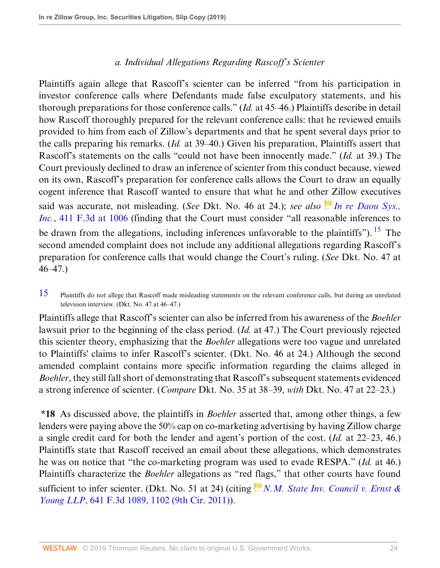# <span id="page-23-1"></span>*a. Individual Allegations Regarding Rascoff's Scienter*

Plaintiffs again allege that Rascoff's scienter can be inferred "from his participation in investor conference calls where Defendants made false exculpatory statements, and his thorough preparations for those conference calls." (*Id.* at 45–46.) Plaintiffs describe in detail how Rascoff thoroughly prepared for the relevant conference calls: that he reviewed emails provided to him from each of Zillow's departments and that he spent several days prior to the calls preparing his remarks. (*Id.* at 39–40.) Given his preparation, Plaintiffs assert that Rascoff's statements on the calls "could not have been innocently made." (*Id.* at 39.) The Court previously declined to draw an inference of scienter from this conduct because, viewed on its own, Rascoff's preparation for conference calls allows the Court to draw an equally cogent inference that Rascoff wanted to ensure that what he and oth[er Z](https://1.next.westlaw.com/Link/RelatedInformation/Flag?documentGuid=Ia27352a1e18f11d98ac8f235252e36df&transitionType=InlineKeyCiteFlags&originationContext=docHeaderFlag&contextData=(sc.Default) )illow executives said was accurate, not misleading. (*See* Dkt. No. 46 at 24.); *see also [In re Daou Sys.,](http://www.westlaw.com/Link/Document/FullText?findType=Y&serNum=2006824880&pubNum=0000506&originatingDoc=Ia2b1702064d511e9a6438b9dc1ba0379&refType=RP&fi=co_pp_sp_506_1006&originationContext=document&vr=3.0&rs=cblt1.0&transitionType=DocumentItem&contextData=(sc.Default)#co_pp_sp_506_1006) Inc.*[, 411 F.3d at 1006](http://www.westlaw.com/Link/Document/FullText?findType=Y&serNum=2006824880&pubNum=0000506&originatingDoc=Ia2b1702064d511e9a6438b9dc1ba0379&refType=RP&fi=co_pp_sp_506_1006&originationContext=document&vr=3.0&rs=cblt1.0&transitionType=DocumentItem&contextData=(sc.Default)#co_pp_sp_506_1006) (finding that the Court must consider "all reasonable inferences to be drawn from the allegations, including inferences unfavorable to the plaintiffs"). <sup>[15](#page-23-0)</sup> The second amended complaint does not include any additional allegations regarding Rascoff's preparation for conference calls that would change the Court's ruling. (*See* Dkt. No. 47 at 46–47.)

<span id="page-23-0"></span>[15](#page-23-1) Plaintiffs do not allege that Rascoff made misleading statements on the relevant conference calls, but during an unrelated television interview. (Dkt. No. 47 at 46–47.)

Plaintiffs allege that Rascoff's scienter can also be inferred from his awareness of the *Boehler* lawsuit prior to the beginning of the class period. (*Id.* at 47.) The Court previously rejected this scienter theory, emphasizing that the *Boehler* allegations were too vague and unrelated to Plaintiffs' claims to infer Rascoff's scienter. (Dkt. No. 46 at 24.) Although the second amended complaint contains more specific information regarding the claims alleged in *Boehler*, they still fall short of demonstrating that Rascoff's subsequent statements evidenced a strong inference of scienter. (*Compare* Dkt. No. 35 at 38–39, *with* Dkt. No. 47 at 22–23.)

**\*18** As discussed above, the plaintiffs in *Boehler* asserted that, among other things, a few lenders were paying above the 50% cap on co-marketing advertising by having Zillow charge a single credit card for both the lender and agent's portion of the cost. (*Id.* at 22–23, 46.) Plaintiffs state that Rascoff received an email about these allegations, which demonstrates he was on notice that "the co-marketing program was used to evade RESPA." (*Id.* at 46.) Plaintiffs characterize the *Boehler* allegations as "red [fla](https://1.next.westlaw.com/Link/RelatedInformation/Flag?documentGuid=I5fc63a1e669d11e0b63e897ab6fa6920&transitionType=InlineKeyCiteFlags&originationContext=docHeaderFlag&contextData=(sc.Default) )gs," that other courts have found sufficient to infer scienter. (Dkt. No. 51 at 24) (citing *[N.M. State Inv. Council v. Ernst &](http://www.westlaw.com/Link/Document/FullText?findType=Y&serNum=2025066440&pubNum=0000506&originatingDoc=Ia2b1702064d511e9a6438b9dc1ba0379&refType=RP&fi=co_pp_sp_506_1102&originationContext=document&vr=3.0&rs=cblt1.0&transitionType=DocumentItem&contextData=(sc.Default)#co_pp_sp_506_1102) Young LLP*[, 641 F.3d 1089, 1102 \(9th Cir. 2011\)\)](http://www.westlaw.com/Link/Document/FullText?findType=Y&serNum=2025066440&pubNum=0000506&originatingDoc=Ia2b1702064d511e9a6438b9dc1ba0379&refType=RP&fi=co_pp_sp_506_1102&originationContext=document&vr=3.0&rs=cblt1.0&transitionType=DocumentItem&contextData=(sc.Default)#co_pp_sp_506_1102).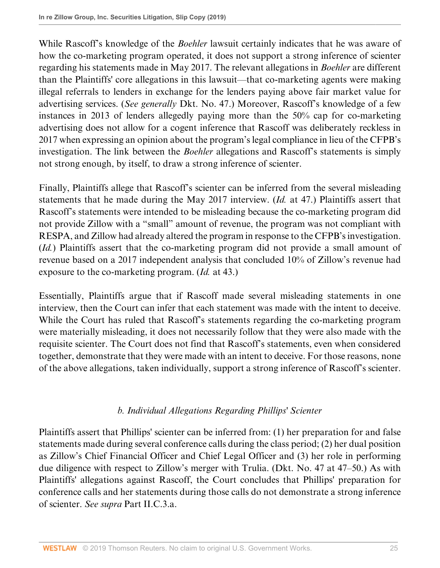While Rascoff's knowledge of the *Boehler* lawsuit certainly indicates that he was aware of how the co-marketing program operated, it does not support a strong inference of scienter regarding his statements made in May 2017. The relevant allegations in *Boehler* are different than the Plaintiffs' core allegations in this lawsuit—that co-marketing agents were making illegal referrals to lenders in exchange for the lenders paying above fair market value for advertising services. (*See generally* Dkt. No. 47.) Moreover, Rascoff's knowledge of a few instances in 2013 of lenders allegedly paying more than the 50% cap for co-marketing advertising does not allow for a cogent inference that Rascoff was deliberately reckless in 2017 when expressing an opinion about the program's legal compliance in lieu of the CFPB's investigation. The link between the *Boehler* allegations and Rascoff's statements is simply not strong enough, by itself, to draw a strong inference of scienter.

Finally, Plaintiffs allege that Rascoff's scienter can be inferred from the several misleading statements that he made during the May 2017 interview. (*Id.* at 47.) Plaintiffs assert that Rascoff's statements were intended to be misleading because the co-marketing program did not provide Zillow with a "small" amount of revenue, the program was not compliant with RESPA, and Zillow had already altered the program in response to the CFPB's investigation. (*Id.*) Plaintiffs assert that the co-marketing program did not provide a small amount of revenue based on a 2017 independent analysis that concluded 10% of Zillow's revenue had exposure to the co-marketing program. (*Id.* at 43.)

Essentially, Plaintiffs argue that if Rascoff made several misleading statements in one interview, then the Court can infer that each statement was made with the intent to deceive. While the Court has ruled that Rascoff's statements regarding the co-marketing program were materially misleading, it does not necessarily follow that they were also made with the requisite scienter. The Court does not find that Rascoff's statements, even when considered together, demonstrate that they were made with an intent to deceive. For those reasons, none of the above allegations, taken individually, support a strong inference of Rascoff's scienter.

# *b. Individual Allegations Regarding Phillips' Scienter*

Plaintiffs assert that Phillips' scienter can be inferred from: (1) her preparation for and false statements made during several conference calls during the class period; (2) her dual position as Zillow's Chief Financial Officer and Chief Legal Officer and (3) her role in performing due diligence with respect to Zillow's merger with Trulia. (Dkt. No. 47 at 47–50.) As with Plaintiffs' allegations against Rascoff, the Court concludes that Phillips' preparation for conference calls and her statements during those calls do not demonstrate a strong inference of scienter. *See supra* Part II.C.3.a.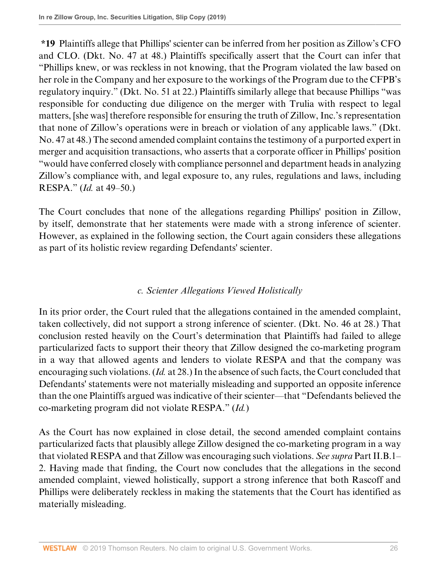**\*19** Plaintiffs allege that Phillips' scienter can be inferred from her position as Zillow's CFO and CLO. (Dkt. No. 47 at 48.) Plaintiffs specifically assert that the Court can infer that "Phillips knew, or was reckless in not knowing, that the Program violated the law based on her role in the Company and her exposure to the workings of the Program due to the CFPB's regulatory inquiry." (Dkt. No. 51 at 22.) Plaintiffs similarly allege that because Phillips "was responsible for conducting due diligence on the merger with Trulia with respect to legal matters, [she was] therefore responsible for ensuring the truth of Zillow, Inc.'s representation that none of Zillow's operations were in breach or violation of any applicable laws." (Dkt. No. 47 at 48.) The second amended complaint contains the testimony of a purported expert in merger and acquisition transactions, who asserts that a corporate officer in Phillips' position "would have conferred closely with compliance personnel and department heads in analyzing Zillow's compliance with, and legal exposure to, any rules, regulations and laws, including RESPA." (*Id.* at 49–50.)

The Court concludes that none of the allegations regarding Phillips' position in Zillow, by itself, demonstrate that her statements were made with a strong inference of scienter. However, as explained in the following section, the Court again considers these allegations as part of its holistic review regarding Defendants' scienter.

# *c. Scienter Allegations Viewed Holistically*

In its prior order, the Court ruled that the allegations contained in the amended complaint, taken collectively, did not support a strong inference of scienter. (Dkt. No. 46 at 28.) That conclusion rested heavily on the Court's determination that Plaintiffs had failed to allege particularized facts to support their theory that Zillow designed the co-marketing program in a way that allowed agents and lenders to violate RESPA and that the company was encouraging such violations. (*Id.* at 28.) In the absence of such facts, the Court concluded that Defendants' statements were not materially misleading and supported an opposite inference than the one Plaintiffs argued was indicative of their scienter—that "Defendants believed the co-marketing program did not violate RESPA." (*Id.*)

As the Court has now explained in close detail, the second amended complaint contains particularized facts that plausibly allege Zillow designed the co-marketing program in a way that violated RESPA and that Zillow was encouraging such violations. *See supra* Part II.B.1– 2. Having made that finding, the Court now concludes that the allegations in the second amended complaint, viewed holistically, support a strong inference that both Rascoff and Phillips were deliberately reckless in making the statements that the Court has identified as materially misleading.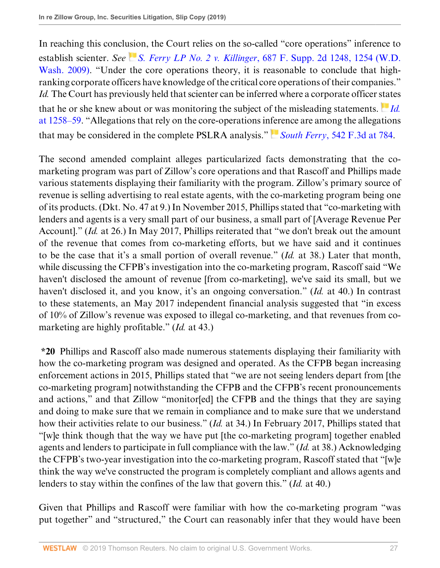In reaching this concl[usio](https://1.next.westlaw.com/Link/RelatedInformation/Flag?documentGuid=I63627caaaf8a11de9988d233d23fe599&transitionType=InlineKeyCiteFlags&originationContext=docHeaderFlag&contextData=(sc.Default) )n, the Court relies on the so-called "core operations" inference to establish scienter. *See S. Ferry LP No. 2 v. Killinger*[, 687 F. Supp. 2d 1248, 1254 \(W.D.](http://www.westlaw.com/Link/Document/FullText?findType=Y&serNum=2019945469&pubNum=0004637&originatingDoc=Ia2b1702064d511e9a6438b9dc1ba0379&refType=RP&fi=co_pp_sp_4637_1254&originationContext=document&vr=3.0&rs=cblt1.0&transitionType=DocumentItem&contextData=(sc.Default)#co_pp_sp_4637_1254) [Wash. 2009\)](http://www.westlaw.com/Link/Document/FullText?findType=Y&serNum=2019945469&pubNum=0004637&originatingDoc=Ia2b1702064d511e9a6438b9dc1ba0379&refType=RP&fi=co_pp_sp_4637_1254&originationContext=document&vr=3.0&rs=cblt1.0&transitionType=DocumentItem&contextData=(sc.Default)#co_pp_sp_4637_1254). "Under the core operations theory, it is reasonable to conclude that highranking corporate officers have knowledge of the critical core operations of their companies." *Id.* The Court has previously held that scienter can be inferred where a corporate officer [stat](https://1.next.westlaw.com/Link/RelatedInformation/Flag?documentGuid=I63627caaaf8a11de9988d233d23fe599&transitionType=InlineKeyCiteFlags&originationContext=docHeaderFlag&contextData=(sc.Default) )es that he or she knew about or was monitoring the subject of the misleading statements. *[Id.](http://www.westlaw.com/Link/Document/FullText?findType=Y&serNum=2019945469&pubNum=0004637&originatingDoc=Ia2b1702064d511e9a6438b9dc1ba0379&refType=RP&fi=co_pp_sp_4637_1258&originationContext=document&vr=3.0&rs=cblt1.0&transitionType=DocumentItem&contextData=(sc.Default)#co_pp_sp_4637_1258)* [at 1258–59.](http://www.westlaw.com/Link/Document/FullText?findType=Y&serNum=2019945469&pubNum=0004637&originatingDoc=Ia2b1702064d511e9a6438b9dc1ba0379&refType=RP&fi=co_pp_sp_4637_1258&originationContext=document&vr=3.0&rs=cblt1.0&transitionType=DocumentItem&contextData=(sc.Default)#co_pp_sp_4637_1258) "Allegations that rely on the core-operations in[fer](https://1.next.westlaw.com/Link/RelatedInformation/Flag?documentGuid=I84f4b75d7e9511dd9876f446780b7bdc&transitionType=InlineKeyCiteFlags&originationContext=docHeaderFlag&contextData=(sc.Default) )ence are among the allegations that may be considered in the complete PSLRA analysis." *South Ferry*[, 542 F.3d at 784.](http://www.westlaw.com/Link/Document/FullText?findType=Y&serNum=2016936038&pubNum=0000506&originatingDoc=Ia2b1702064d511e9a6438b9dc1ba0379&refType=RP&fi=co_pp_sp_506_784&originationContext=document&vr=3.0&rs=cblt1.0&transitionType=DocumentItem&contextData=(sc.Default)#co_pp_sp_506_784)

The second amended complaint alleges particularized facts demonstrating that the comarketing program was part of Zillow's core operations and that Rascoff and Phillips made various statements displaying their familiarity with the program. Zillow's primary source of revenue is selling advertising to real estate agents, with the co-marketing program being one of its products. (Dkt. No. 47 at 9.) In November 2015, Phillips stated that "co-marketing with lenders and agents is a very small part of our business, a small part of [Average Revenue Per Account]." (*Id.* at 26.) In May 2017, Phillips reiterated that "we don't break out the amount of the revenue that comes from co-marketing efforts, but we have said and it continues to be the case that it's a small portion of overall revenue." (*Id.* at 38.) Later that month, while discussing the CFPB's investigation into the co-marketing program, Rascoff said "We haven't disclosed the amount of revenue [from co-marketing], we've said its small, but we haven't disclosed it, and you know, it's an ongoing conversation." (*Id.* at 40.) In contrast to these statements, an May 2017 independent financial analysis suggested that "in excess of 10% of Zillow's revenue was exposed to illegal co-marketing, and that revenues from comarketing are highly profitable." (*Id.* at 43.)

**\*20** Phillips and Rascoff also made numerous statements displaying their familiarity with how the co-marketing program was designed and operated. As the CFPB began increasing enforcement actions in 2015, Phillips stated that "we are not seeing lenders depart from [the co-marketing program] notwithstanding the CFPB and the CFPB's recent pronouncements and actions," and that Zillow "monitor[ed] the CFPB and the things that they are saying and doing to make sure that we remain in compliance and to make sure that we understand how their activities relate to our business." (*Id.* at 34.) In February 2017, Phillips stated that "[w]e think though that the way we have put [the co-marketing program] together enabled agents and lenders to participate in full compliance with the law." (*Id.* at 38.) Acknowledging the CFPB's two-year investigation into the co-marketing program, Rascoff stated that "[w]e think the way we've constructed the program is completely compliant and allows agents and lenders to stay within the confines of the law that govern this." (*Id.* at 40.)

Given that Phillips and Rascoff were familiar with how the co-marketing program "was put together" and "structured," the Court can reasonably infer that they would have been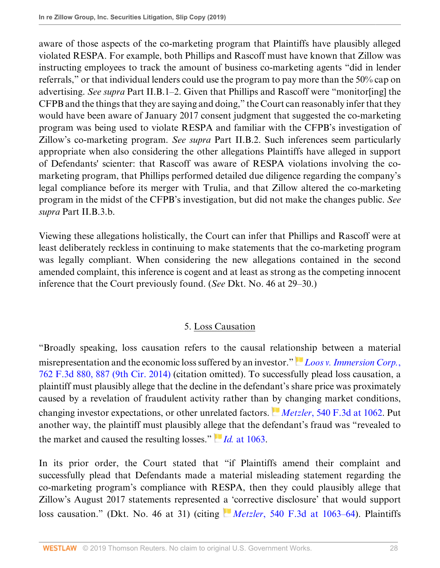aware of those aspects of the co-marketing program that Plaintiffs have plausibly alleged violated RESPA. For example, both Phillips and Rascoff must have known that Zillow was instructing employees to track the amount of business co-marketing agents "did in lender referrals," or that individual lenders could use the program to pay more than the 50% cap on advertising. *See supra* Part II.B.1–2. Given that Phillips and Rascoff were "monitor[ing] the CFPB and the things that they are saying and doing," the Court can reasonably infer that they would have been aware of January 2017 consent judgment that suggested the co-marketing program was being used to violate RESPA and familiar with the CFPB's investigation of Zillow's co-marketing program. *See supra* Part II.B.2. Such inferences seem particularly appropriate when also considering the other allegations Plaintiffs have alleged in support of Defendants' scienter: that Rascoff was aware of RESPA violations involving the comarketing program, that Phillips performed detailed due diligence regarding the company's legal compliance before its merger with Trulia, and that Zillow altered the co-marketing program in the midst of the CFPB's investigation, but did not make the changes public. *See supra* Part II.B.3.b.

Viewing these allegations holistically, the Court can infer that Phillips and Rascoff were at least deliberately reckless in continuing to make statements that the co-marketing program was legally compliant. When considering the new allegations contained in the second amended complaint, this inference is cogent and at least as strong as the competing innocent inference that the Court previously found. (*See* Dkt. No. 46 at 29–30.)

# 5. Loss Causation

"Broadly speaking, loss causation refers to the causal relati[onsh](https://1.next.westlaw.com/Link/RelatedInformation/Flag?documentGuid=I3a651d0f1e4111e4b86bd602cb8781fa&transitionType=InlineKeyCiteFlags&originationContext=docHeaderFlag&contextData=(sc.Default) )ip between a material misrepresentation and the economic loss suffered by an investor." *[Loos v. Immersion Corp.](http://www.westlaw.com/Link/Document/FullText?findType=Y&serNum=2033986956&pubNum=0000506&originatingDoc=Ia2b1702064d511e9a6438b9dc1ba0379&refType=RP&fi=co_pp_sp_506_887&originationContext=document&vr=3.0&rs=cblt1.0&transitionType=DocumentItem&contextData=(sc.Default)#co_pp_sp_506_887)*, [762 F.3d 880, 887 \(9th Cir. 2014\)](http://www.westlaw.com/Link/Document/FullText?findType=Y&serNum=2033986956&pubNum=0000506&originatingDoc=Ia2b1702064d511e9a6438b9dc1ba0379&refType=RP&fi=co_pp_sp_506_887&originationContext=document&vr=3.0&rs=cblt1.0&transitionType=DocumentItem&contextData=(sc.Default)#co_pp_sp_506_887) (citation omitted). To successfully plead loss causation, a plaintiff must plausibly allege that the decline in the defendant's share price was proximately caused by a revelation of fraudulent activity rather than [by](https://1.next.westlaw.com/Link/RelatedInformation/Flag?documentGuid=I7bfd96fd738e11ddb6a3a099756c05b7&transitionType=InlineKeyCiteFlags&originationContext=docHeaderFlag&contextData=(sc.Default) ) changing market conditions, changing investor expectations, or other unrelated factors. *Metzler*[, 540 F.3d at 1062.](http://www.westlaw.com/Link/Document/FullText?findType=Y&serNum=2016838098&pubNum=0000506&originatingDoc=Ia2b1702064d511e9a6438b9dc1ba0379&refType=RP&fi=co_pp_sp_506_1062&originationContext=document&vr=3.0&rs=cblt1.0&transitionType=DocumentItem&contextData=(sc.Default)#co_pp_sp_506_1062) Put another way, the plaintiff must plausibly all[ege](https://1.next.westlaw.com/Link/RelatedInformation/Flag?documentGuid=I7bfd96fd738e11ddb6a3a099756c05b7&transitionType=InlineKeyCiteFlags&originationContext=docHeaderFlag&contextData=(sc.Default) ) that the defendant's fraud was "revealed to the market and caused the resulting losses." *Id.* [at 1063](http://www.westlaw.com/Link/Document/FullText?findType=Y&serNum=2016838098&pubNum=0000506&originatingDoc=Ia2b1702064d511e9a6438b9dc1ba0379&refType=RP&fi=co_pp_sp_506_1063&originationContext=document&vr=3.0&rs=cblt1.0&transitionType=DocumentItem&contextData=(sc.Default)#co_pp_sp_506_1063).

In its prior order, the Court stated that "if Plaintiffs amend their complaint and successfully plead that Defendants made a material misleading statement regarding the co-marketing program's compliance with RESPA, then they could plausibly allege that Zillow's August 2017 statements represented [a '](https://1.next.westlaw.com/Link/RelatedInformation/Flag?documentGuid=I7bfd96fd738e11ddb6a3a099756c05b7&transitionType=InlineKeyCiteFlags&originationContext=docHeaderFlag&contextData=(sc.Default) )corrective disclosure' that would support loss causation." (Dkt. No. 46 at 31) (citing *Metzler*[, 540 F.3d at 1063–64](http://www.westlaw.com/Link/Document/FullText?findType=Y&serNum=2016838098&pubNum=0000506&originatingDoc=Ia2b1702064d511e9a6438b9dc1ba0379&refType=RP&fi=co_pp_sp_506_1063&originationContext=document&vr=3.0&rs=cblt1.0&transitionType=DocumentItem&contextData=(sc.Default)#co_pp_sp_506_1063)). Plaintiffs